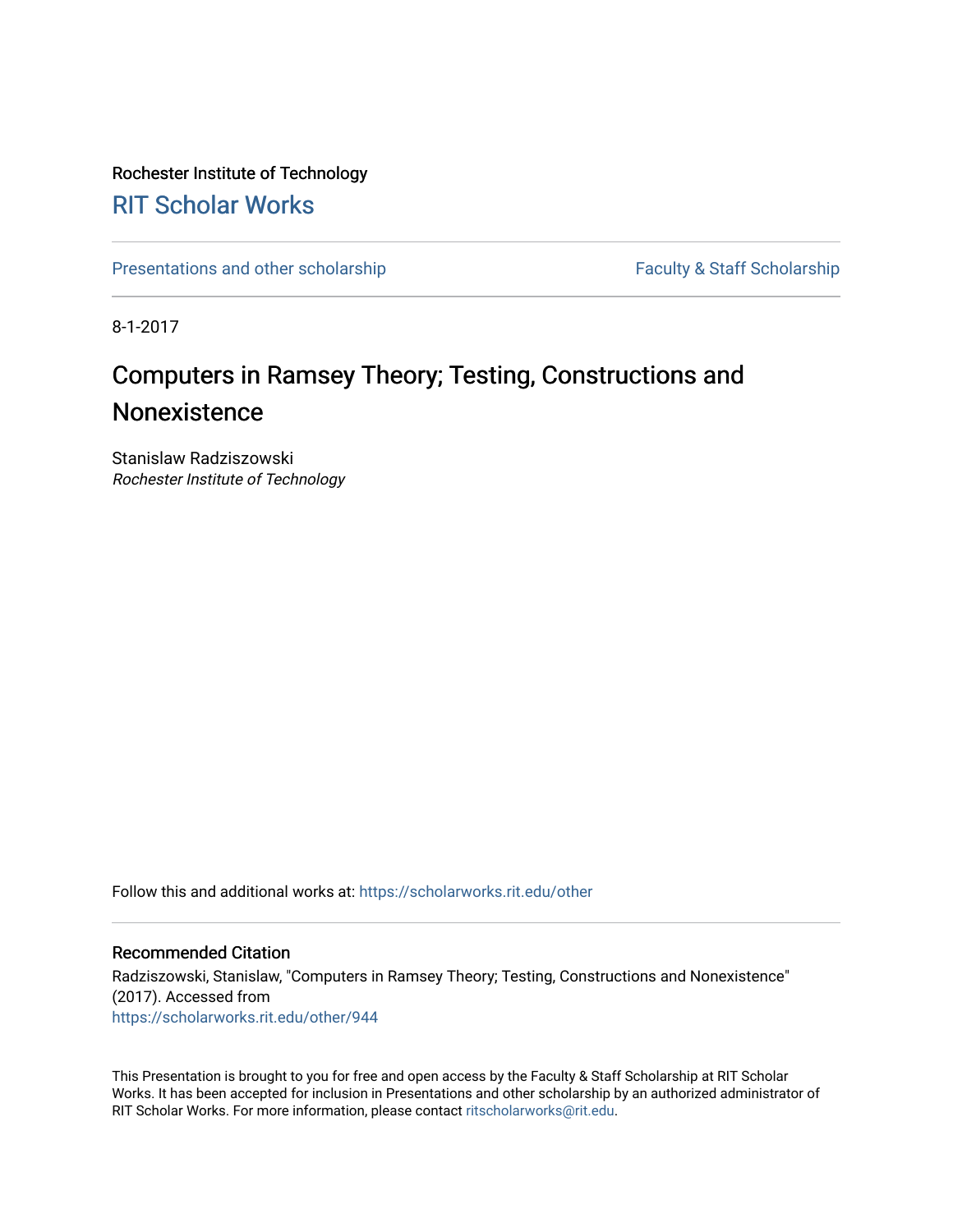#### Rochester Institute of Technology [RIT Scholar Works](https://scholarworks.rit.edu/)

[Presentations and other scholarship](https://scholarworks.rit.edu/other) Faculty & Staff Scholarship

8-1-2017

#### Computers in Ramsey Theory; Testing, Constructions and **Nonexistence**

Stanislaw Radziszowski Rochester Institute of Technology

Follow this and additional works at: [https://scholarworks.rit.edu/other](https://scholarworks.rit.edu/other?utm_source=scholarworks.rit.edu%2Fother%2F944&utm_medium=PDF&utm_campaign=PDFCoverPages) 

#### Recommended Citation

Radziszowski, Stanislaw, "Computers in Ramsey Theory; Testing, Constructions and Nonexistence" (2017). Accessed from [https://scholarworks.rit.edu/other/944](https://scholarworks.rit.edu/other/944?utm_source=scholarworks.rit.edu%2Fother%2F944&utm_medium=PDF&utm_campaign=PDFCoverPages)

This Presentation is brought to you for free and open access by the Faculty & Staff Scholarship at RIT Scholar Works. It has been accepted for inclusion in Presentations and other scholarship by an authorized administrator of RIT Scholar Works. For more information, please contact [ritscholarworks@rit.edu.](mailto:ritscholarworks@rit.edu)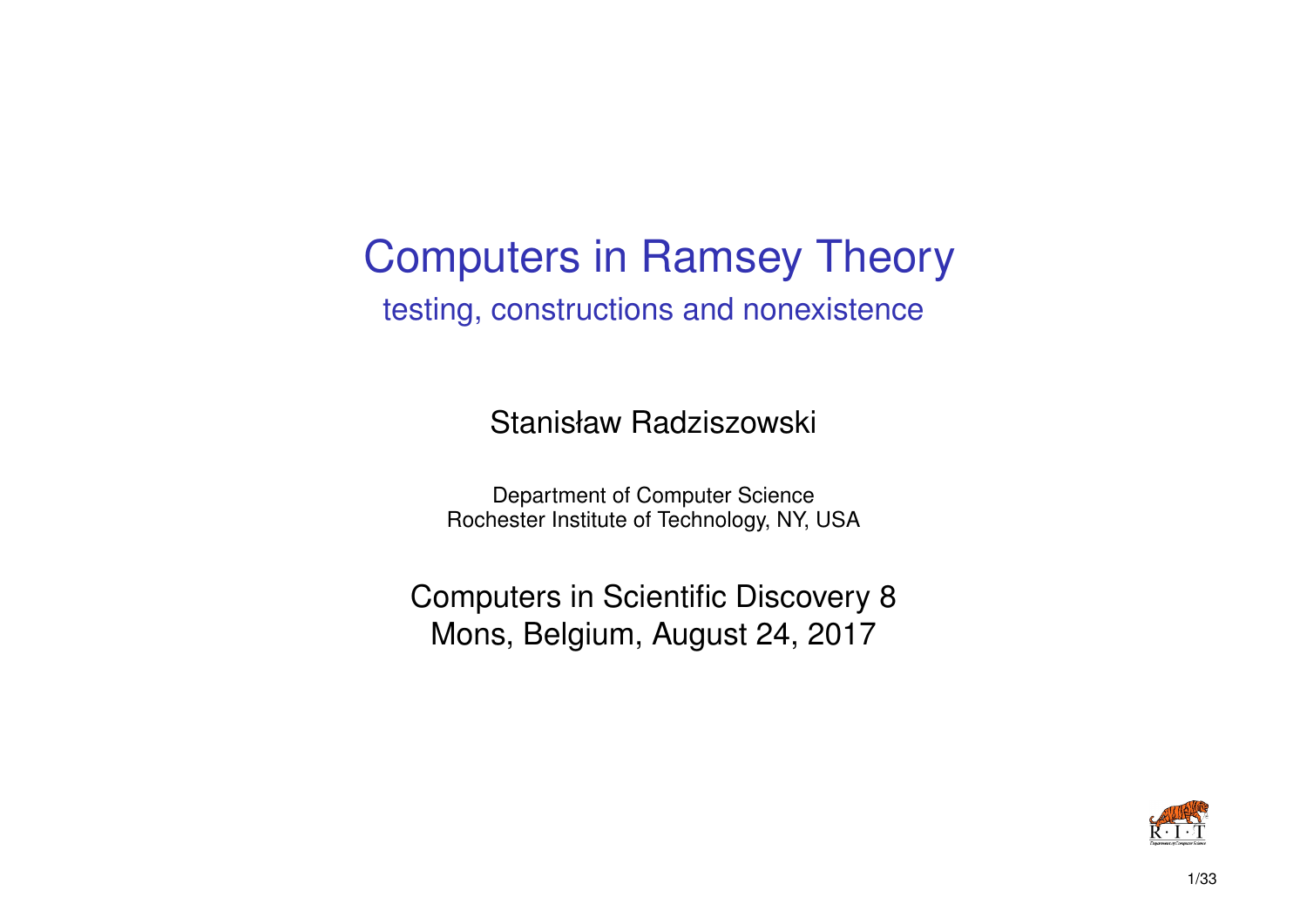### Computers in Ramsey Theory testing, constructions and nonexistence

Stanisław Radziszowski

Department of Computer Science Rochester Institute of Technology, NY, USA

Computers in Scientific Discovery 8 Mons, Belgium, August 24, 2017

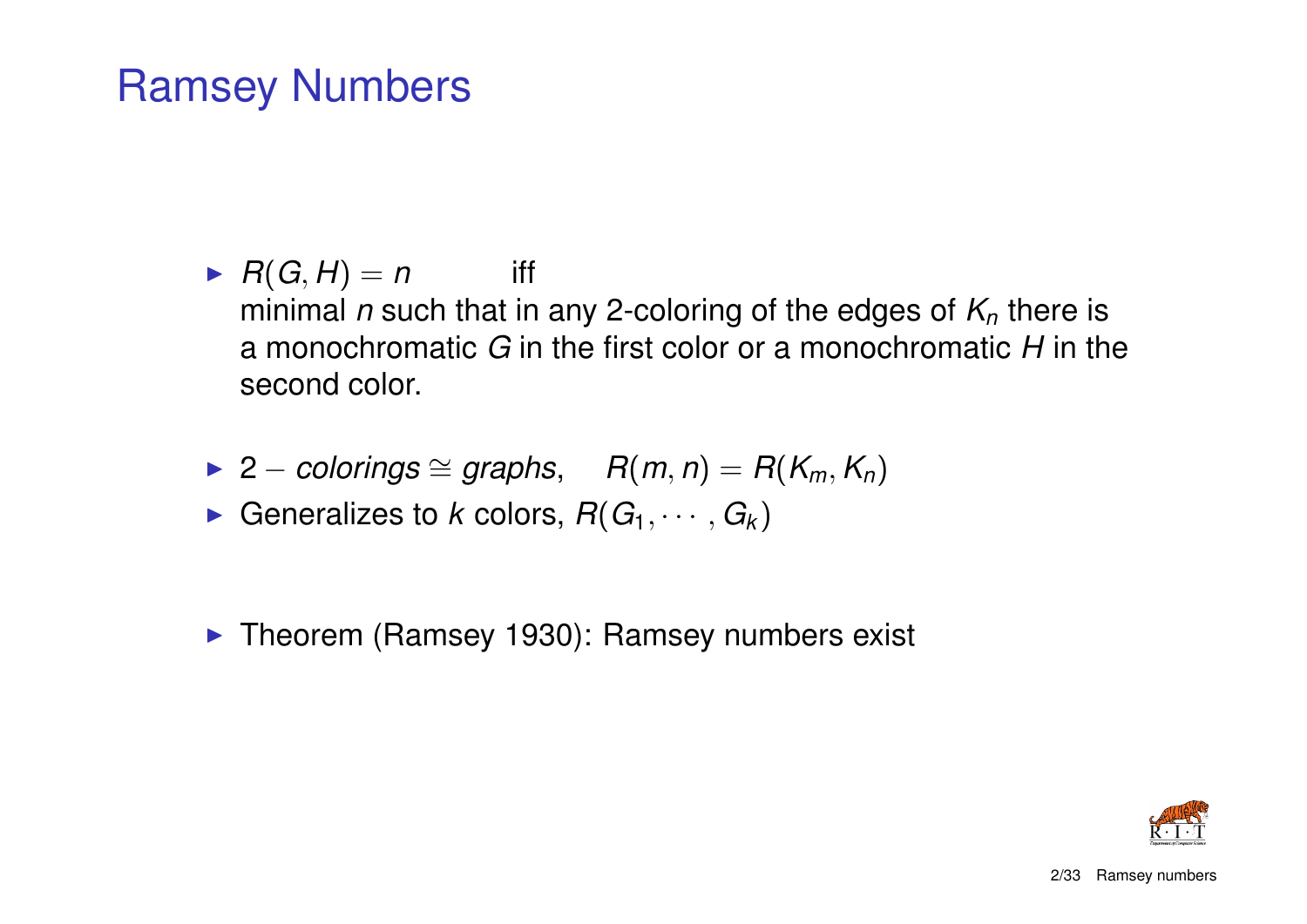### Ramsey Numbers

- $\blacktriangleright$   $R(G, H) = n$  iff minimal *n* such that in any 2-coloring of the edges of *K<sup>n</sup>* there is a monochromatic *G* in the first color or a monochromatic *H* in the second color.
- $\blacktriangleright$  2 *colorings*  $\cong$  *graphs*,  $R(m, n) = R(K_m, K_n)$
- Generalizes to *k* colors,  $R(G_1, \dots, G_k)$
- $\blacktriangleright$  Theorem (Ramsey 1930): Ramsey numbers exist

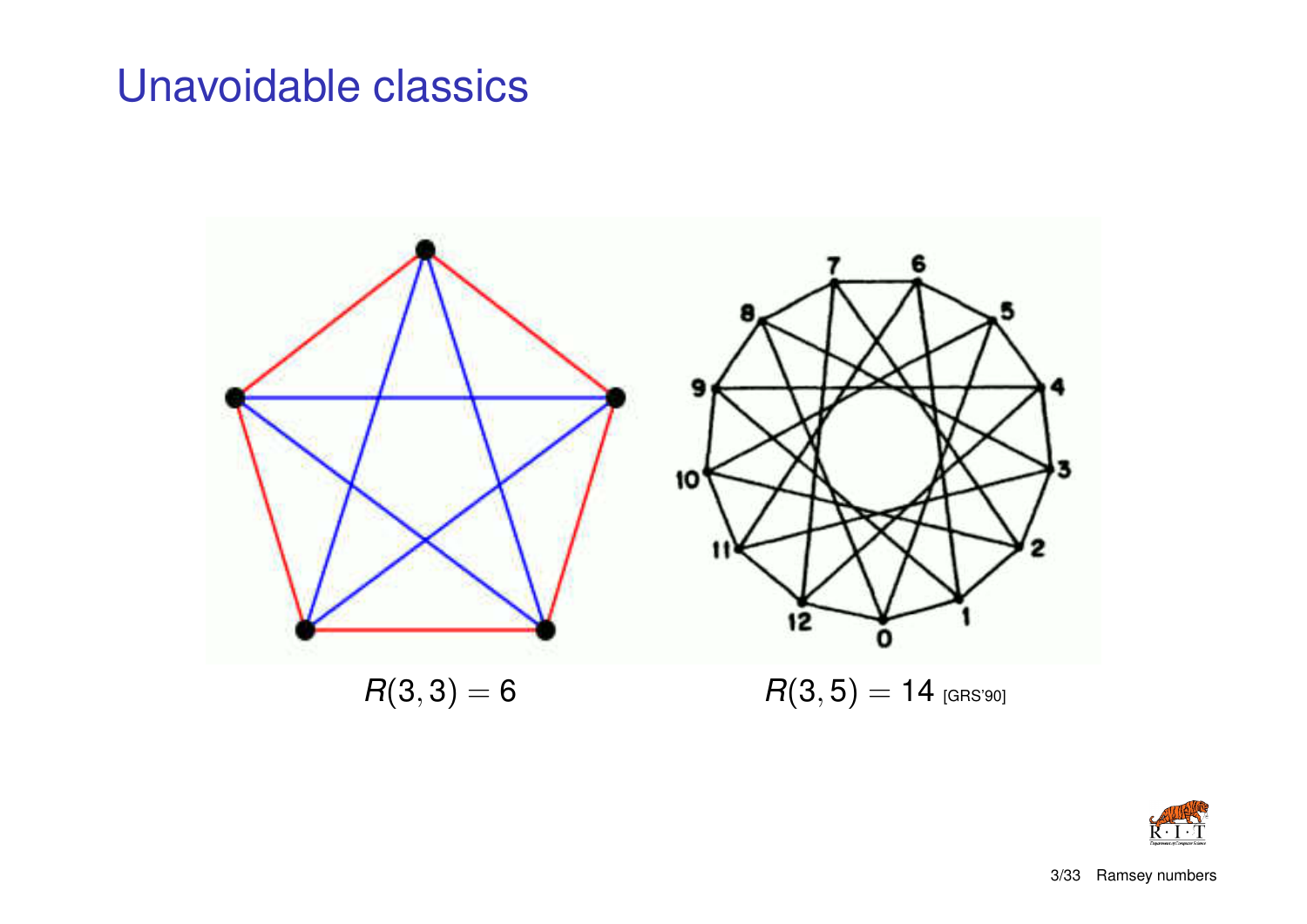### Unavoidable classics



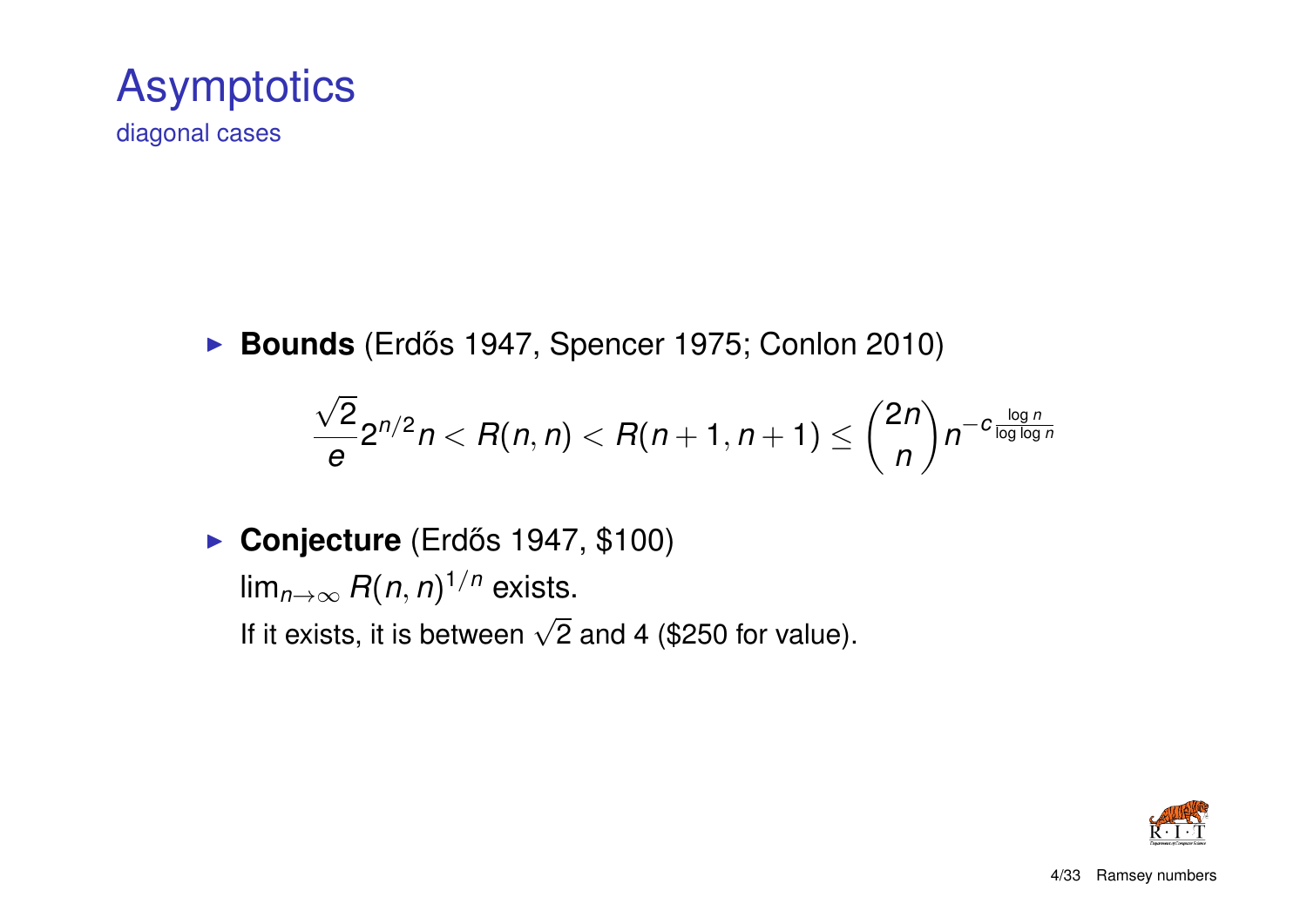

diagonal cases

► Bounds (Erdős 1947, Spencer 1975; Conlon 2010)

$$
\frac{\sqrt{2}}{e}2^{n/2}n < R(n,n) < R(n+1,n+1) \leq {2n \choose n}n^{-c\frac{\log n}{\log \log n}}
$$

**Conjecture** (Erdős 1947, \$100) lim*n*→∞ *R*(*n*, *n*) 1/*n* exists. If it exists, it is between  $\sqrt{2}$  and 4 (\$250 for value).

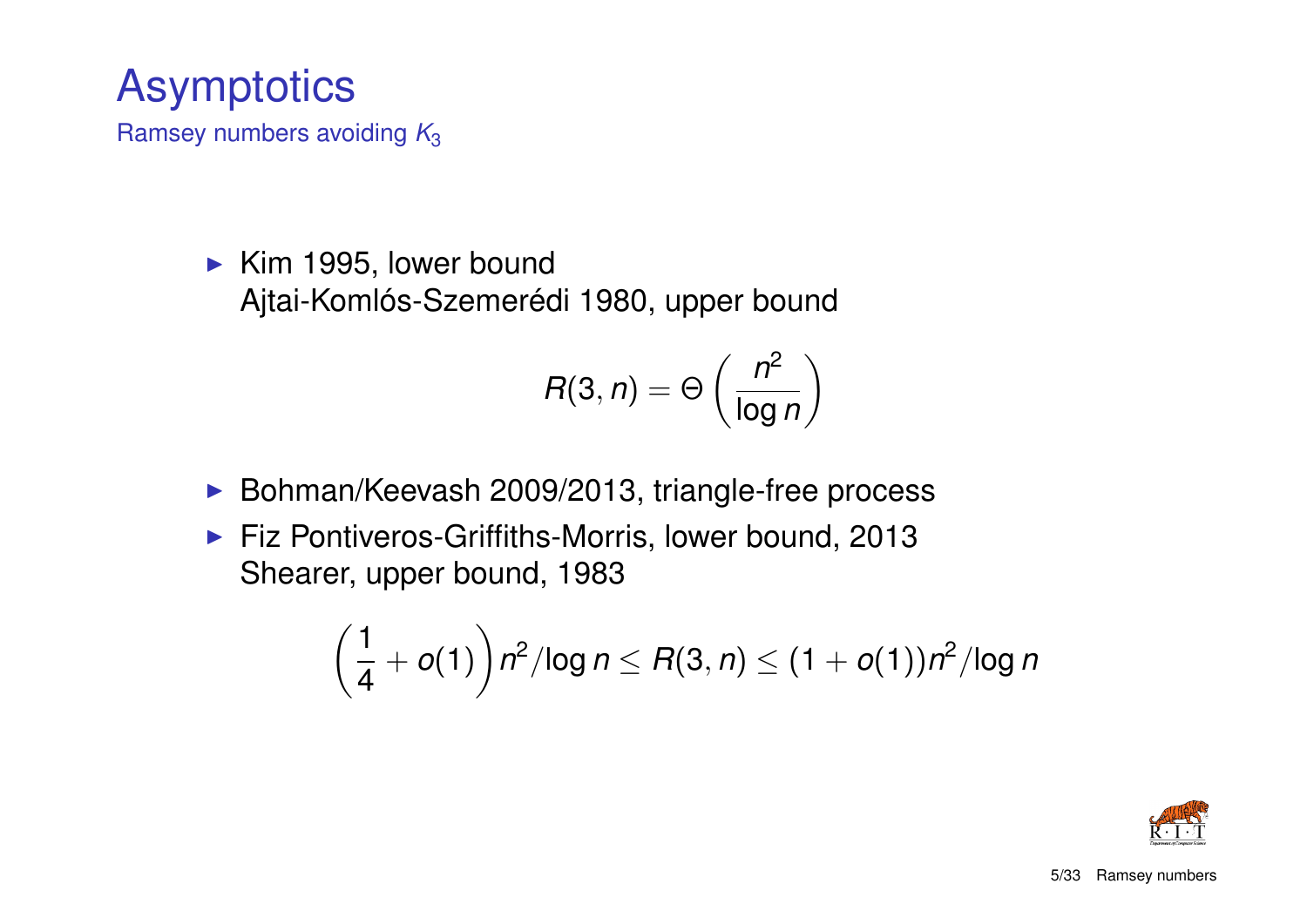### **Asymptotics**

Ramsey numbers avoiding *K*<sup>3</sup>

 $\blacktriangleright$  Kim 1995, lower bound Ajtai-Komlós-Szemerédi 1980, upper bound

$$
R(3,n) = \Theta\left(\frac{n^2}{\log n}\right)
$$

- ▶ Bohman/Keevash 2009/2013, triangle-free process
- $\blacktriangleright$  Fiz Pontiveros-Griffiths-Morris, lower bound, 2013 Shearer, upper bound, 1983

$$
\left(\frac{1}{4}+o(1)\right)n^2/\log n \leq R(3,n) \leq (1+o(1))n^2/\log n
$$

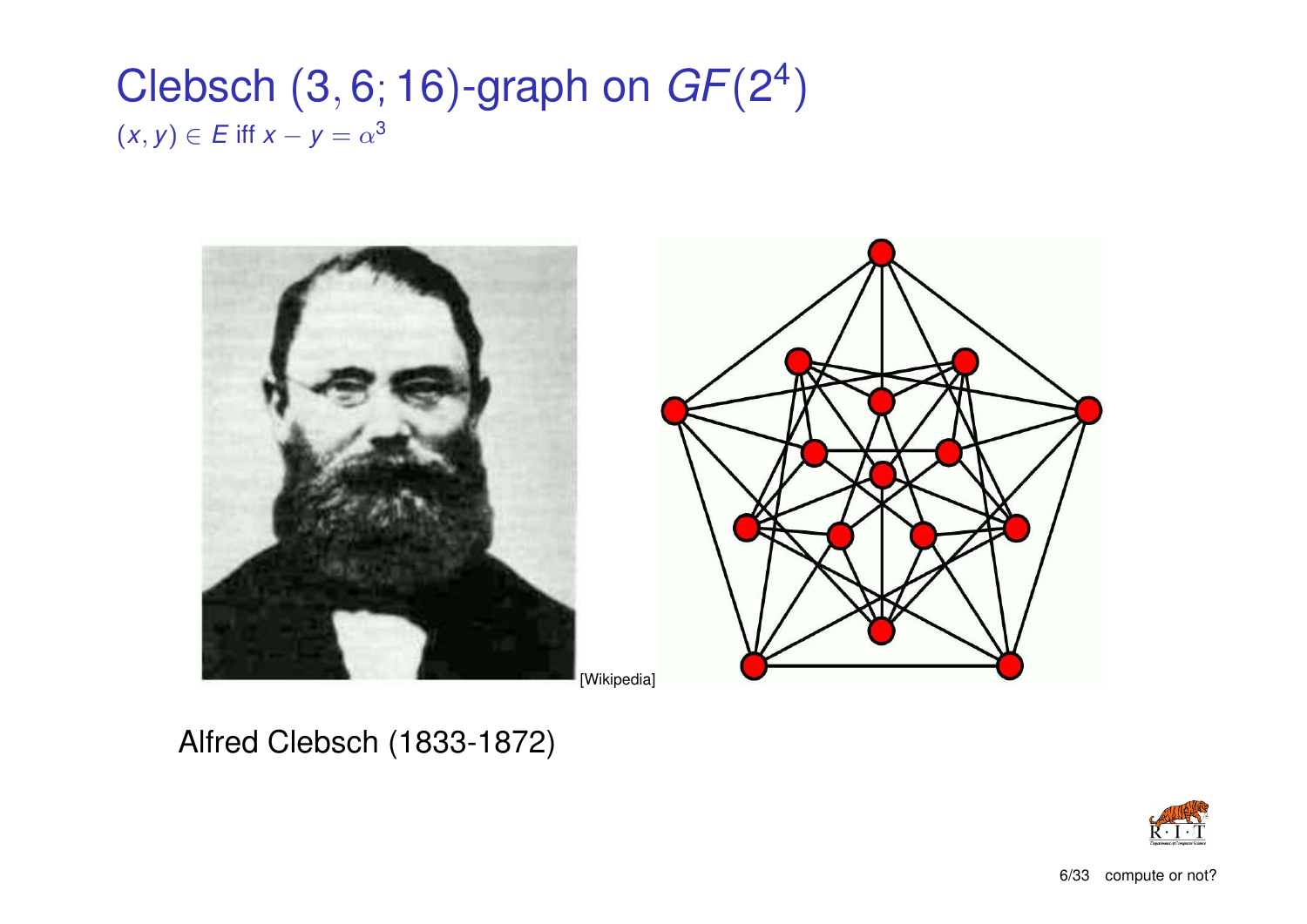### Clebsch (3, 6; 16)-graph on *GF*(2 4 )  $(x, y) \in E$  iff  $x - y = \alpha^3$



Alfred Clebsch (1833-1872)

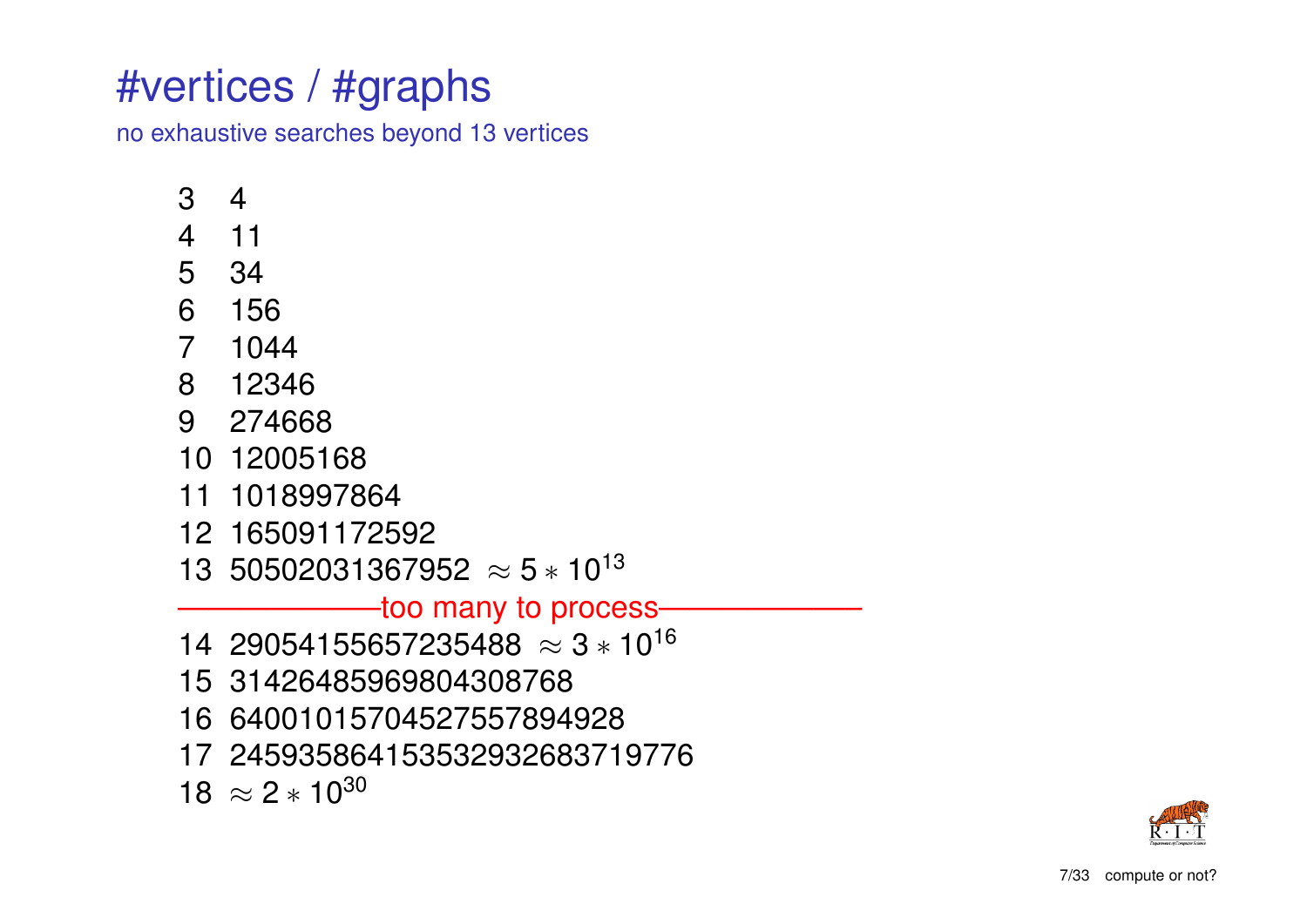### #vertices / #graphs

no exhaustive searches beyond 13 vertices

- 3 4
- 4 11
- 5 34
- 6 156
- 7 1044
- 8 12346
- 9 274668
- 10 12005168
- 11 1018997864
- 12 165091172592
- 13 50502031367952  $\approx$  5  $\ast$  10<sup>13</sup>

#### -too many to process-

- 14 29054155657235488  $\approx$  3  $\ast$  10<sup>16</sup>
- 15 31426485969804308768
- 16 64001015704527557894928
- 17 245935864153532932683719776

 $18 \approx 2 * 10^{30}$ 

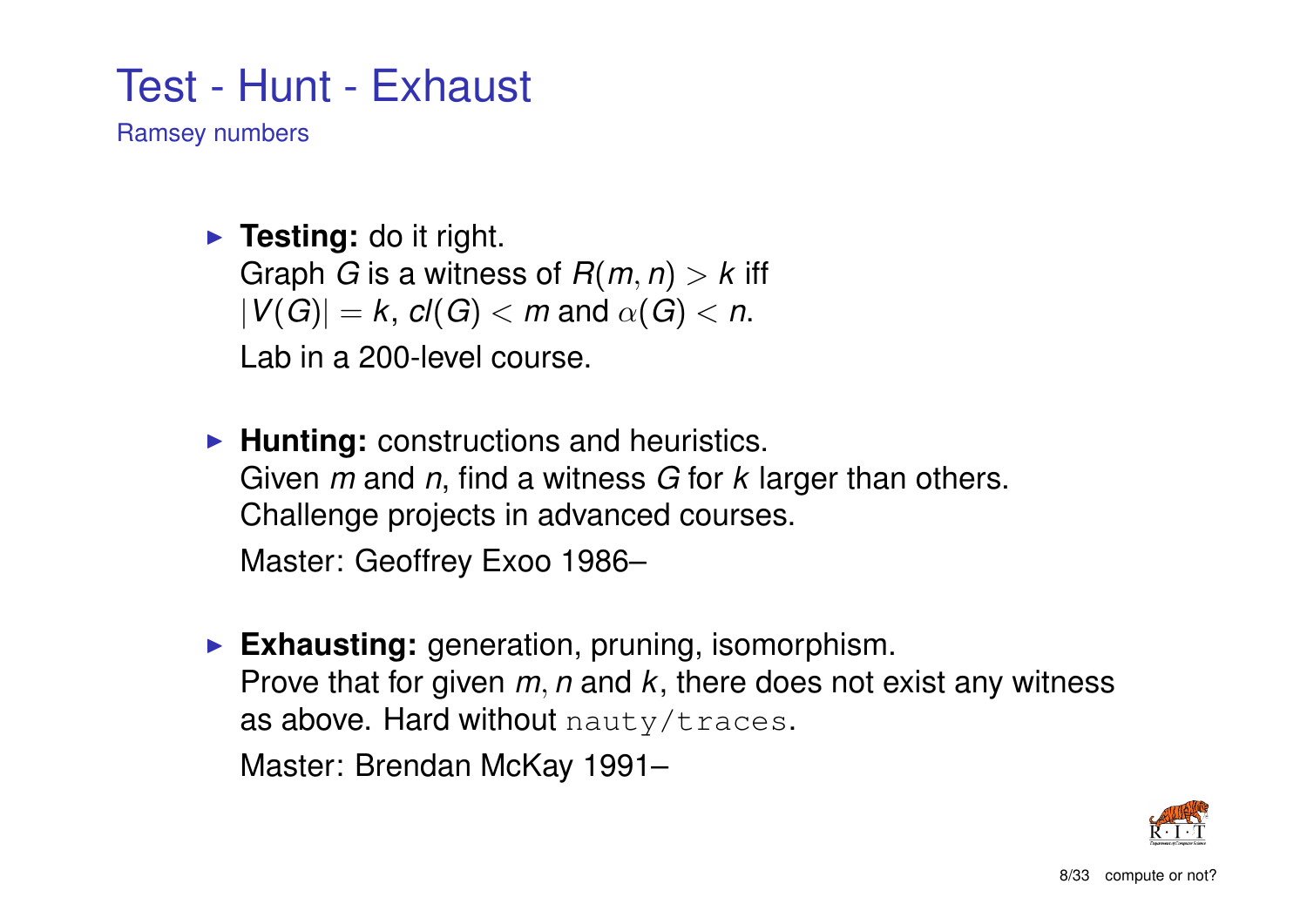### Test - Hunt - Exhaust

Ramsey numbers

**Funding:** do it right. Graph *G* is a witness of  $R(m, n) > k$  iff  $|V(G)| = k$ ,  $cl(G) < m$  and  $\alpha(G) < n$ . Lab in a 200-level course.

- **Hunting:** constructions and heuristics. Given *m* and *n*, find a witness *G* for *k* larger than others. Challenge projects in advanced courses. Master: Geoffrey Exoo 1986–
- **Exhausting:** generation, pruning, isomorphism. Prove that for given *m*, *n* and *k*, there does not exist any witness as above. Hard without nauty/traces.

Master: Brendan McKay 1991–

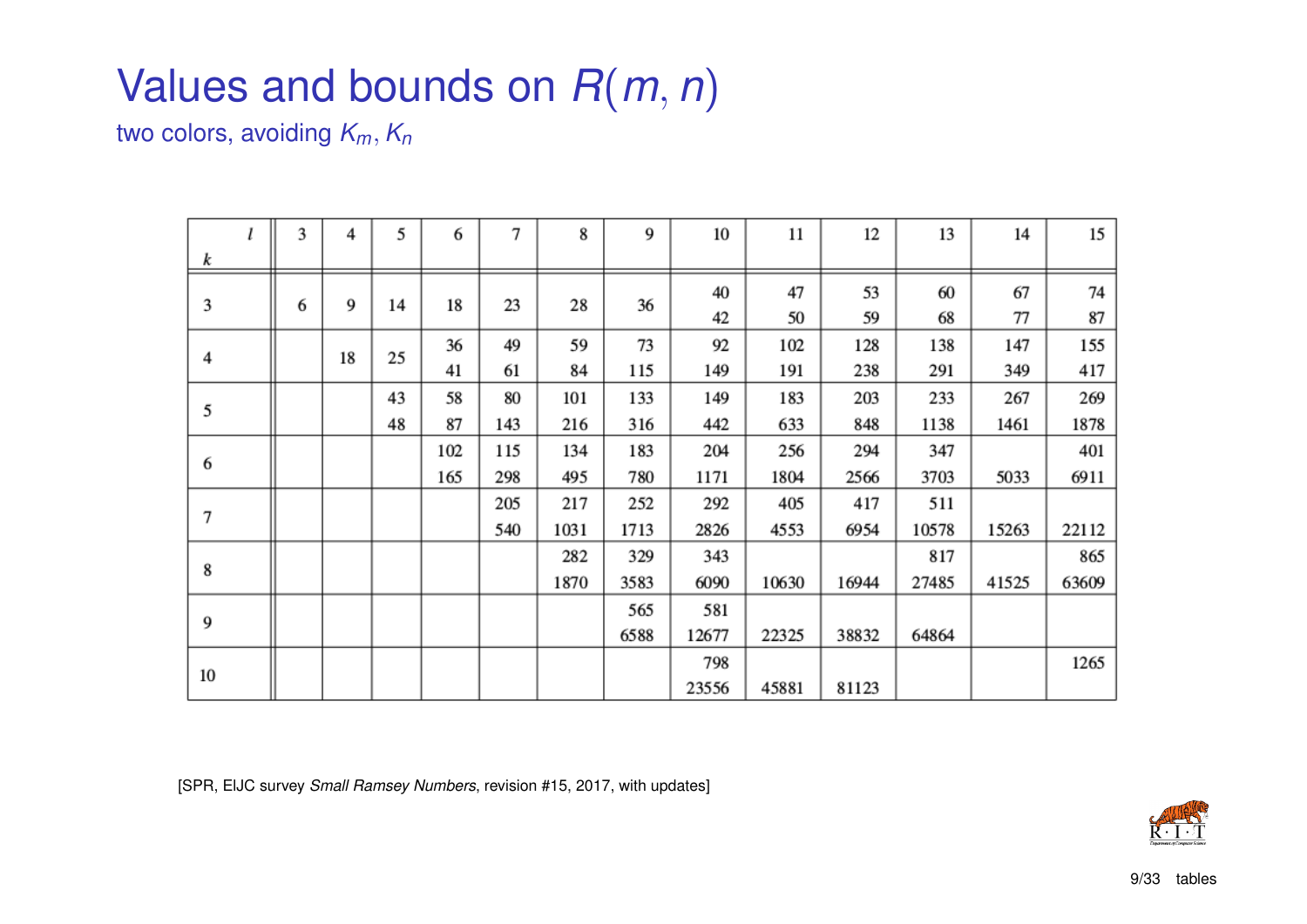## Values and bounds on *R*(*m*, *n*)

two colors, avoiding *Km*, *K<sup>n</sup>*

|    | 3 | 4  | 5  | 6   | 7   | 8    | 9    | 10    | 11    | 12    | 13    | 14    | 15    |
|----|---|----|----|-----|-----|------|------|-------|-------|-------|-------|-------|-------|
| k  |   |    |    |     |     |      |      |       |       |       |       |       |       |
| 3  | 6 | 9  | 14 | 18  | 23  | 28   | 36   | 40    | 47    | 53    | 60    | 67    | 74    |
|    |   |    |    |     |     |      |      | 42    | 50    | 59    | 68    | 77    | 87    |
| 4  |   | 18 | 25 | 36  | 49  | 59   | 73   | 92    | 102   | 128   | 138   | 147   | 155   |
|    |   |    |    | 41  | 61  | 84   | 115  | 149   | 191   | 238   | 291   | 349   | 417   |
| 5  |   |    | 43 | 58  | 80  | 101  | 133  | 149   | 183   | 203   | 233   | 267   | 269   |
|    |   |    | 48 | 87  | 143 | 216  | 316  | 442   | 633   | 848   | 1138  | 1461  | 1878  |
| 6  |   |    |    | 102 | 115 | 134  | 183  | 204   | 256   | 294   | 347   |       | 401   |
|    |   |    |    | 165 | 298 | 495  | 780  | 1171  | 1804  | 2566  | 3703  | 5033  | 6911  |
| 7  |   |    |    |     | 205 | 217  | 252  | 292   | 405   | 417   | 511   |       |       |
|    |   |    |    |     | 540 | 1031 | 1713 | 2826  | 4553  | 6954  | 10578 | 15263 | 22112 |
| 8  |   |    |    |     |     | 282  | 329  | 343   |       |       | 817   |       | 865   |
|    |   |    |    |     |     | 1870 | 3583 | 6090  | 10630 | 16944 | 27485 | 41525 | 63609 |
| 9  |   |    |    |     |     |      | 565  | 581   |       |       |       |       |       |
|    |   |    |    |     |     |      | 6588 | 12677 | 22325 | 38832 | 64864 |       |       |
|    |   |    |    |     |     |      |      | 798   |       |       |       |       | 1265  |
| 10 |   |    |    |     |     |      |      | 23556 | 45881 | 81123 |       |       |       |

[SPR, ElJC survey *Small Ramsey Numbers*, revision #15, 2017, with updates]

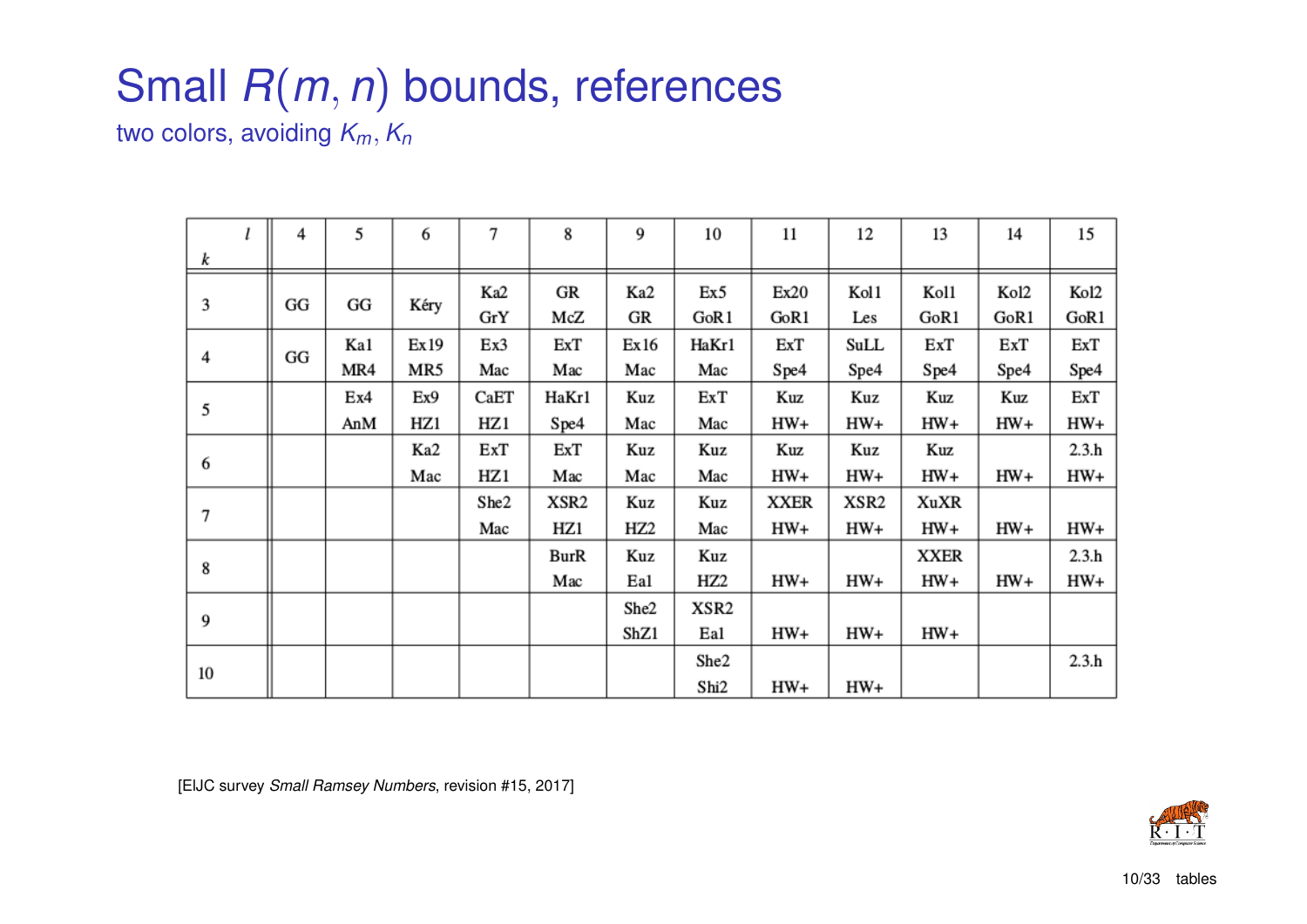## Small *R*(*m*, *n*) bounds, references

two colors, avoiding *Km*, *K<sup>n</sup>*

|    | 4  | 5   | 6     | 7    | 8     | 9               | 10              | 11          | 12    | 13          | 14    | 15    |
|----|----|-----|-------|------|-------|-----------------|-----------------|-------------|-------|-------------|-------|-------|
| k  |    |     |       |      |       |                 |                 |             |       |             |       |       |
| 3  | GG | GG  | Kéry  | Ka2  | GR    | Ka2             | Ex5             | Ex20        | Kol1  | Kol1        | Kol2  | Kol2  |
|    |    |     |       | GrY  | McZ   | GR              | GoR1            | GoR1        | Les   | GoR1        | GoR1  | GoR1  |
| 4  | GG | Ka1 | Ex 19 | Ex3  | ExT   | Ex16            | HaKr1           | ExT         | SuLL  | ExT         | ExT   | ExT   |
|    |    | MR4 | MR5   | Mac  | Mac   | Mac             | Mac             | Spe4        | Spe4  | Spe4        | Spe4  | Spe4  |
| 5  |    | Ex4 | Ex9   | CaET | HaKr1 | Kuz             | ExT             | Kuz         | Kuz   | Kuz         | Kuz   | ExT   |
|    |    | AnM | HZ1   | HZ 1 | Spe4  | Mac             | Mac             | HW+         | HW+   | HW+         | HW+   | HW+   |
| 6  |    |     | Ka2   | ExT  | ExT   | Kuz             | Kuz             | Kuz         | Kuz   | Kuz         |       | 2.3.h |
|    |    |     | Mac   | HZ 1 | Mac   | Mac             | Mac             | HW+         | HW+   | $HW+$       | $HW+$ | HW+   |
| 7  |    |     |       | She2 | XSR2  | Kuz             | Kuz             | <b>XXER</b> | XSR2  | XuXR        |       |       |
|    |    |     |       | Mac  | HZ1   | HZ <sub>2</sub> | Mac             | $HW+$       | HW+   | $HW+$       | $HW+$ | HW+   |
| 8  |    |     |       |      | BurR  | Kuz             | Kuz             |             |       | <b>XXER</b> |       | 2.3.h |
|    |    |     |       |      | Mac   | Ea1             | HZ <sub>2</sub> | $HW+$       | $HW+$ | HW+         | $HW+$ | HW+   |
| 9  |    |     |       |      |       | She2            | XSR2            |             |       |             |       |       |
|    |    |     |       |      |       | ShZ1            | Ea1             | HW+         | HW+   | $HW+$       |       |       |
| 10 |    |     |       |      |       |                 | She2            |             |       |             |       | 2.3.h |
|    |    |     |       |      |       |                 | Shi2            | HW+         | HW+   |             |       |       |

[ElJC survey *Small Ramsey Numbers*, revision #15, 2017]

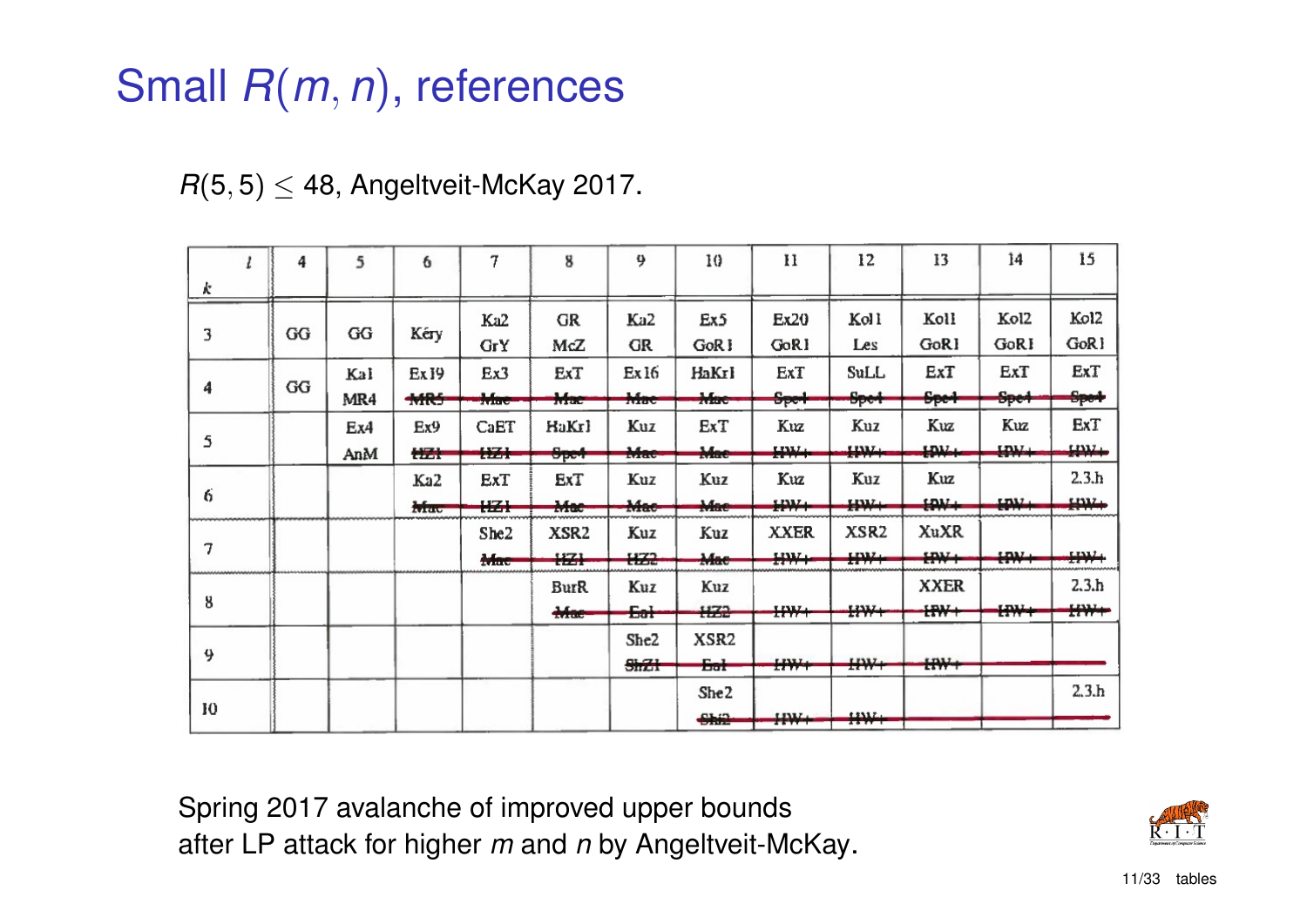## Small *R*(*m*, *n*), references

|  |  | $R(5,5) \leq 48$ , Angeltveit-McKay 2017. |  |  |
|--|--|-------------------------------------------|--|--|
|--|--|-------------------------------------------|--|--|

|    | 4  | 5   | 6                | 7                | 8                | 9                | 10               | $\mathbf{H}$     | 12                    | 13                 | 14              | 15               |
|----|----|-----|------------------|------------------|------------------|------------------|------------------|------------------|-----------------------|--------------------|-----------------|------------------|
| k  |    |     |                  |                  |                  |                  |                  |                  |                       |                    |                 |                  |
| 3  | GG | GG  | Kéry             | Ka2              | <b>GR</b>        | Ka2              | Ex5              | Ex20             | Kol l                 | Koll               | Kol2            | Kol2             |
|    |    |     |                  | <b>GrY</b>       | McZ              | <b>GR</b>        | GoR <sub>1</sub> | GoRI             | Les                   | GoR1               | GoRI            | GoR <sub>1</sub> |
|    |    | Kal | Ex <sub>19</sub> | Ex3              | ExT              | Ex <sub>16</sub> | HaKrl            | ExT              | SuLL                  | ExT                | ExT             | ExT              |
| 4  | GG | MR4 | MRS              | Mae              | Mac              | Mac              | Mac              | S <sub>per</sub> | Spe4                  | <del>Spe4</del>    | <del>Spe4</del> | <del>Spot</del>  |
|    |    | Ex4 | Ex9              | CaET             | HaKrl            | Kuz              | ExT              | Kuz              | Kuz                   | Kuz                | Kuz             | ExT              |
| 5  |    | AnM | 摆开               | <b>HZI</b>       | <del>Spet</del>  | Mac              | Mae              | HW+              | $+111 +$              | <b>LDM</b>         | $+44+$          | $H^{332}$        |
|    |    |     | Ka2              | ExT              | ExT              | Kuz              | Kuz              | Kuz              | Kuz                   | Kuz                |                 | 2.3 <sub>h</sub> |
| 6  |    |     | ATTACK           | ₩                | Mac              | Mac              | Mae              | HW+              | $H^{1/2}$             | $+444$             | 12337.          | 11117.<br>1.1.1  |
|    |    |     |                  | She <sub>2</sub> | XSR <sub>2</sub> | Kuz              | Kuz              | <b>XXER</b>      | XSR <sub>2</sub>      | XuXR               |                 |                  |
| 7  |    |     |                  | <del>Mac</del>   | <b>HZI</b>       | HZ2              | Mae              | $H^*$            | 12332.4<br>43.700     | <b>HW+</b>         | $H^{\mu\nu}$    | ₩÷               |
|    |    |     |                  |                  | <b>BurR</b>      | Kuz              | Kuz              |                  |                       | <b>XXER</b>        |                 | 2.3 <sub>h</sub> |
| 8  |    |     |                  |                  | $H^{\rm{me}}$    | Eat              | +122             | $H^*$            | ₩+                    | <b>ERW+</b>        | ₩₩              | $H^*$            |
|    |    |     |                  |                  |                  | She2             | XSR <sub>2</sub> |                  |                       |                    |                 |                  |
| 9  |    |     |                  |                  |                  | \$mZt            | <del>Eat</del>   | $H^{\mu\nu}$     | $H^*$                 | $H^{\prime\prime}$ |                 |                  |
|    |    |     |                  |                  |                  |                  | She <sub>2</sub> |                  |                       |                    |                 | 2.3 <sub>h</sub> |
| 10 |    |     |                  |                  |                  |                  | Ship             | <b>HW+</b>       | 13337.<br>$25.17 - 1$ |                    |                 |                  |

Spring 2017 avalanche of improved upper bounds after LP attack for higher *m* and *n* by Angeltveit-McKay.

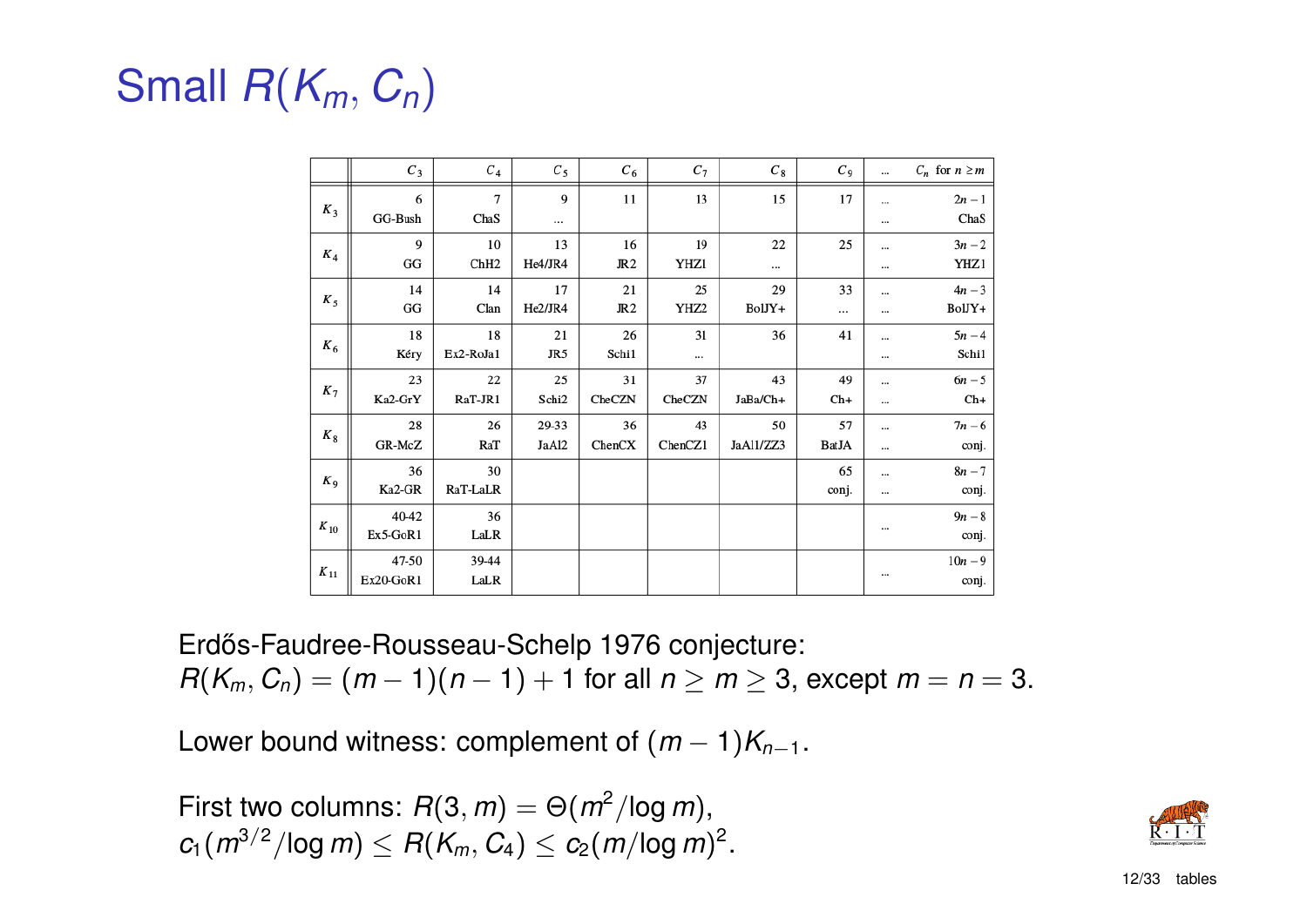# Small *R*(*Km*, *Cn*)

|          | $C_3$              | $\boldsymbol{C}_4$     | $C_5$          | $C_6$                 | $C_7$                  | $C_8$           | $C_9$              |                      | $C_n$ for $n \geq m$ |
|----------|--------------------|------------------------|----------------|-----------------------|------------------------|-----------------|--------------------|----------------------|----------------------|
| $K_3$    | 6<br>GG-Bush       | 7<br>ChaS              | 9<br>          | $11\,$                | 13                     | 15              | 17                 | <br>$\cdots$         | $2n-1$<br>ChaS       |
| $K_4$    | 9<br>GG            | 10<br>ChH <sub>2</sub> | 13<br>He4/JR4  | 16<br>JR <sub>2</sub> | 19<br>YHZ1             | 22<br>          | 25                 | $\cdots$<br>$\cdots$ | $3n-2$<br>YHZ1       |
| $K_5$    | 14<br>GG           | 14<br>Clan             | 17<br>He2/JR4  | 21<br>JR <sub>2</sub> | 25<br>YHZ <sub>2</sub> | 29<br>BolJY+    | 33<br>             | $\cdots$<br>$\cdots$ | $4n-3$<br>BolJY+     |
| $K_6$    | 18<br>Kéry         | 18<br>Ex2-RoJa1        | 21<br>JR5      | 26<br>Schi1           | 31<br>                 | 36              | 41                 | $\cdots$<br>$\cdots$ | $5n - 4$<br>Schi1    |
| $K_7$    | 23<br>Ka2-GrY      | 22<br>RaT-JR1          | 25<br>Schi2    | 31<br>CheCZN          | 37<br>CheCZN           | 43<br>JaBa/Ch+  | 49<br>$Ch+$        | $\cdots$<br>$\cdots$ | $6n - 5$<br>$Ch+$    |
| $K_{8}$  | 28<br>GR-McZ       | 26<br>RaT              | 29-33<br>JaAl2 | 36<br>ChenCX          | 43<br>ChenCZ1          | 50<br>JaA11/ZZ3 | 57<br><b>BatJA</b> | <br>$\cdots$         | $7n - 6$<br>conj.    |
| $K_9$    | 36<br>Ka2-GR       | 30<br>RaT-LaLR         |                |                       |                        |                 | 65<br>conj.        | $\cdots$<br>$\cdots$ | $8n - 7$<br>conj.    |
| $K_{10}$ | 40-42<br>Ex5-GoR1  | 36<br>LaLR             |                |                       |                        |                 |                    | $\cdots$             | $9n-8$<br>conj.      |
| $K_{11}$ | 47-50<br>Ex20-GoR1 | 39-44<br>LaLR          |                |                       |                        |                 |                    | $\cdots$             | $10n - 9$<br>conj.   |

Erdős-Faudree-Rousseau-Schelp 1976 conjecture:  $R(K_m, C_n) = (m - 1)(n - 1) + 1$  for all  $n \ge m \ge 3$ , except  $m = n = 3$ .

Lower bound witness: complement of  $(m - 1)K_{n-1}$ .

First two columns:  $R(3, m) = \Theta(m^2/\log m)$ ,  $c_1(m^{3/2}/\text{log } m) \leq R(K_m, C_4) \leq c_2(m/\text{log } m)^2.$ 

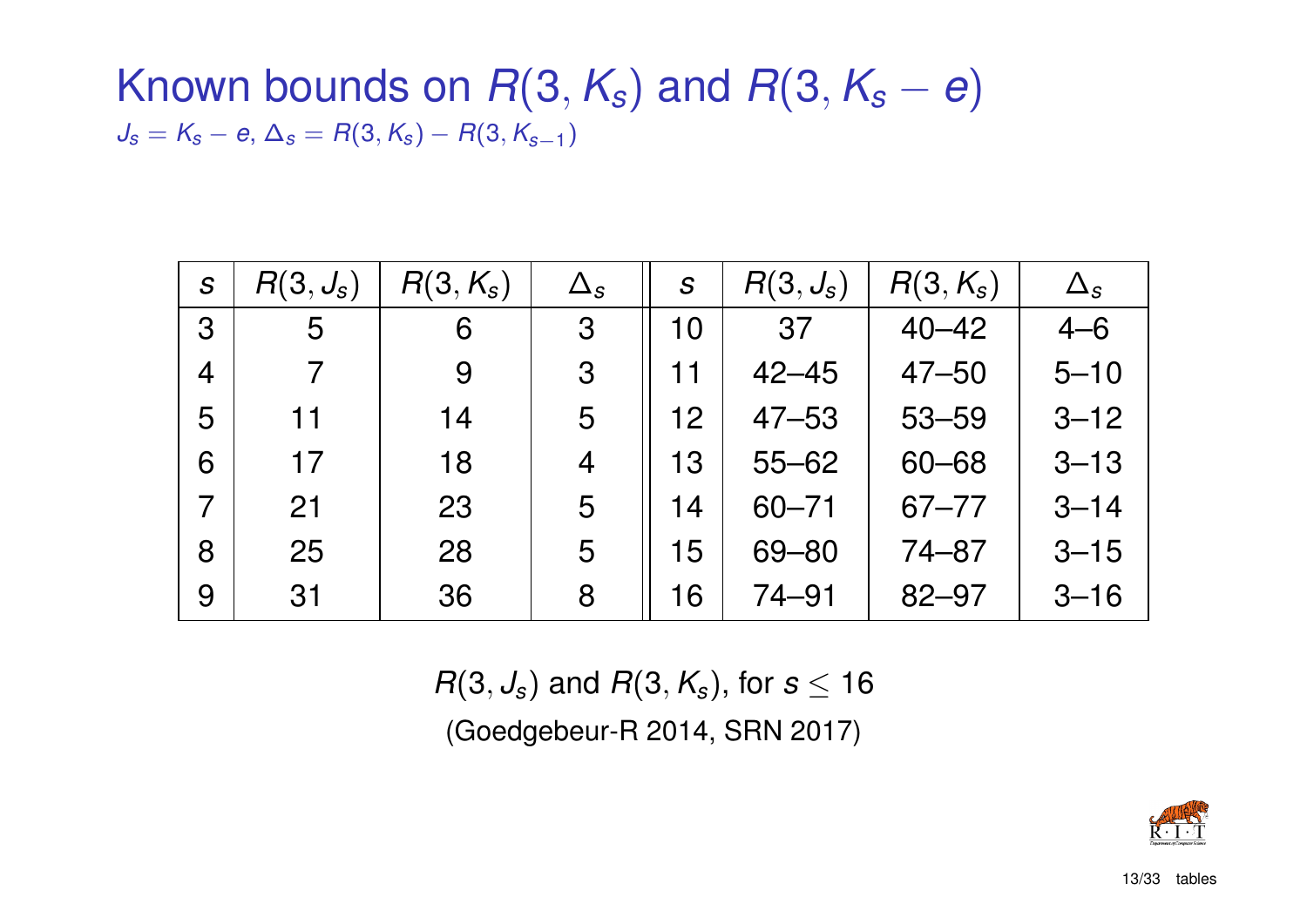### Known bounds on  $R(3, K_s)$  and  $R(3, K_s - e)$  $J_s = K_s - e$ ,  $\Delta_s = R(3, K_s) - R(3, K_{s-1})$

| $\mathcal{S}$  | $R(3, J_s)$ | $R(3, K_s)$ | $\Delta_{\scriptstyle\mathcal{S}}$ | S  | $R(3, J_s)$ | $R(3, K_s)$ | $\Delta_{\rm s}$ |
|----------------|-------------|-------------|------------------------------------|----|-------------|-------------|------------------|
| 3              | 5           | 6           | 3                                  | 10 | 37          | $40 - 42$   | $4 - 6$          |
| $\overline{4}$ | 7           | 9           | 3                                  |    | $42 - 45$   | $47 - 50$   | $5 - 10$         |
| 5              | 11          | 14          | 5                                  | 12 | $47 - 53$   | $53 - 59$   | $3 - 12$         |
| 6              | 17          | 18          | 4                                  | 13 | $55 - 62$   | $60 - 68$   | $3 - 13$         |
| $\overline{7}$ | 21          | 23          | 5                                  | 14 | $60 - 71$   | $67 - 77$   | $3 - 14$         |
| 8              | 25          | 28          | 5                                  | 15 | 69 - 80     | $74 - 87$   | $3 - 15$         |
| 9              | 31          | 36          | 8                                  | 6  | 74–91       | $82 - 97$   | $3 - 16$         |

 $R(3, J_s)$  and  $R(3, K_s)$ , for  $s \leq 16$ (Goedgebeur-R 2014, SRN 2017)

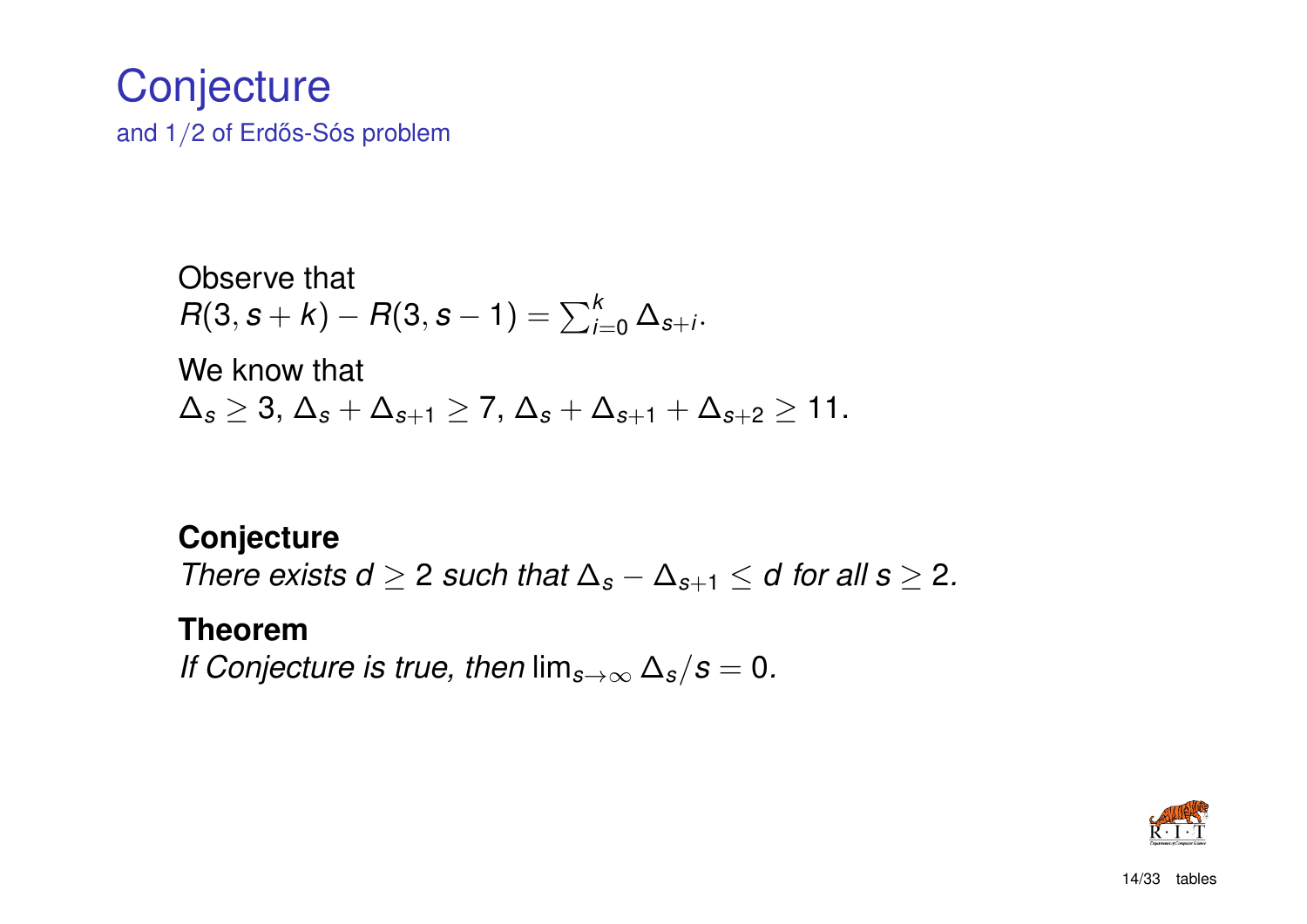### **Conjecture** and  $1/2$  of Erdős-Sós problem

Observe that  $R(3, s + k) - R(3, s - 1) = \sum_{i=0}^{k} \Delta_{s+i}$ .

We know that ∆*<sup>s</sup>* ≥ 3, ∆*<sup>s</sup>* + ∆*s*+<sup>1</sup> ≥ 7, ∆*<sup>s</sup>* + ∆*s*+<sup>1</sup> + ∆*s*+<sup>2</sup> ≥ 11.

#### **Conjecture**

*There exists d*  $\geq$  2 *such that*  $\Delta_s - \Delta_{s+1} \leq d$  *for all s*  $\geq$  2*.* 

#### **Theorem**

*If Conjecture is true, then*  $\lim_{s\to\infty}\Delta_s/s=0$ .

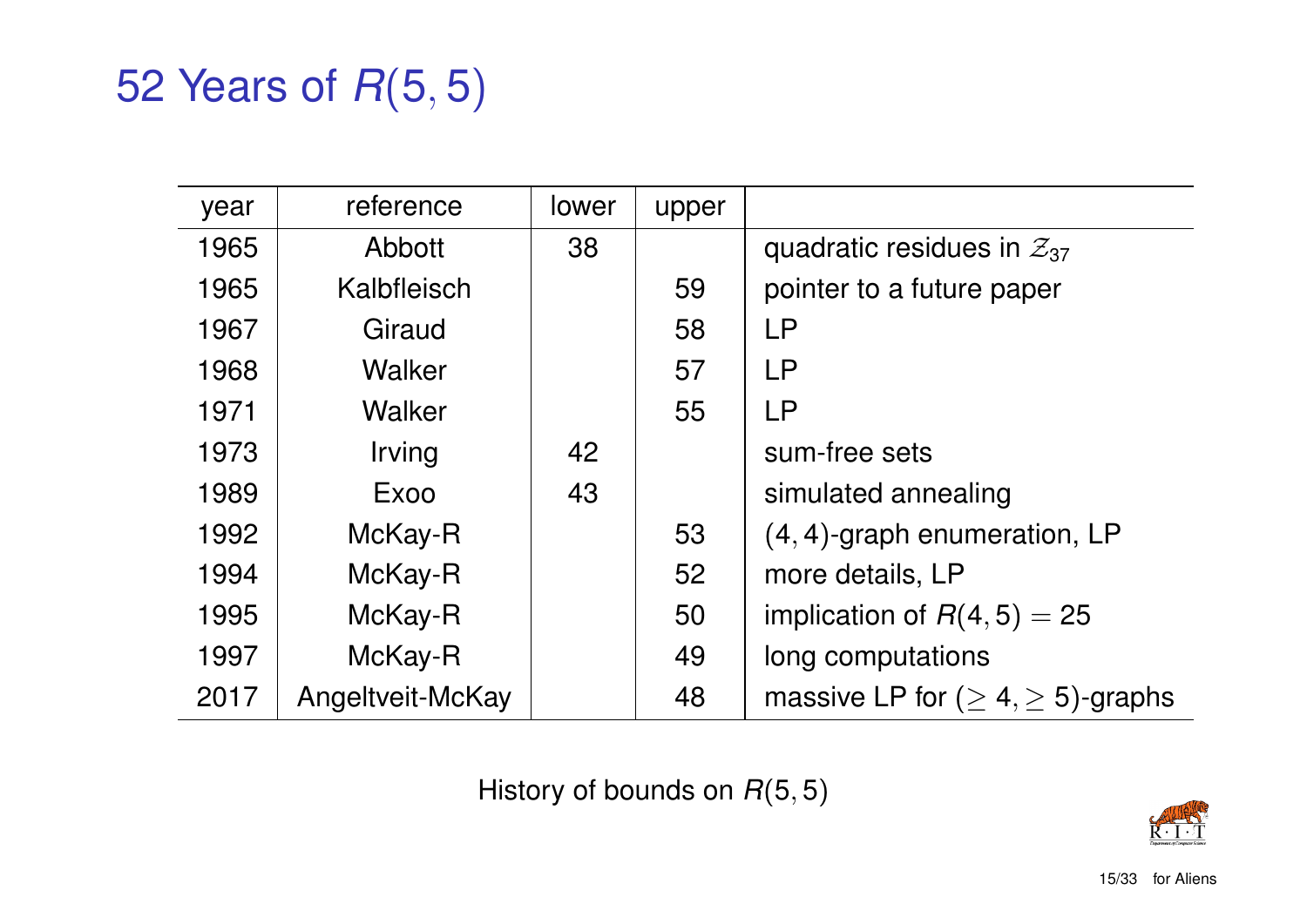## 52 Years of *R*(5, 5)

| year | reference                   | lower | upper |                                            |
|------|-----------------------------|-------|-------|--------------------------------------------|
| 1965 | Abbott                      | 38    |       | quadratic residues in $\mathcal{Z}_{37}$   |
| 1965 | Kalbfleisch                 |       | 59    | pointer to a future paper                  |
| 1967 | Giraud                      |       | 58    | <b>LP</b>                                  |
| 1968 | Walker                      |       | 57    | <b>LP</b>                                  |
| 1971 | Walker                      |       | 55    | <b>LP</b>                                  |
| 1973 | <i><u><b>Irving</b></u></i> | 42    |       | sum-free sets                              |
| 1989 | Exoo                        | 43    |       | simulated annealing                        |
| 1992 | McKay-R                     |       | 53    | $(4, 4)$ -graph enumeration, LP            |
| 1994 | McKay-R                     |       | 52    | more details, LP                           |
| 1995 | McKay-R                     |       | 50    | implication of $R(4,5) = 25$               |
| 1997 | McKay-R                     |       | 49    | long computations                          |
| 2017 | Angeltveit-McKay            |       | 48    | massive LP for ( $\geq 4, \geq 5$ )-graphs |
|      |                             |       |       |                                            |

History of bounds on *R*(5, 5)

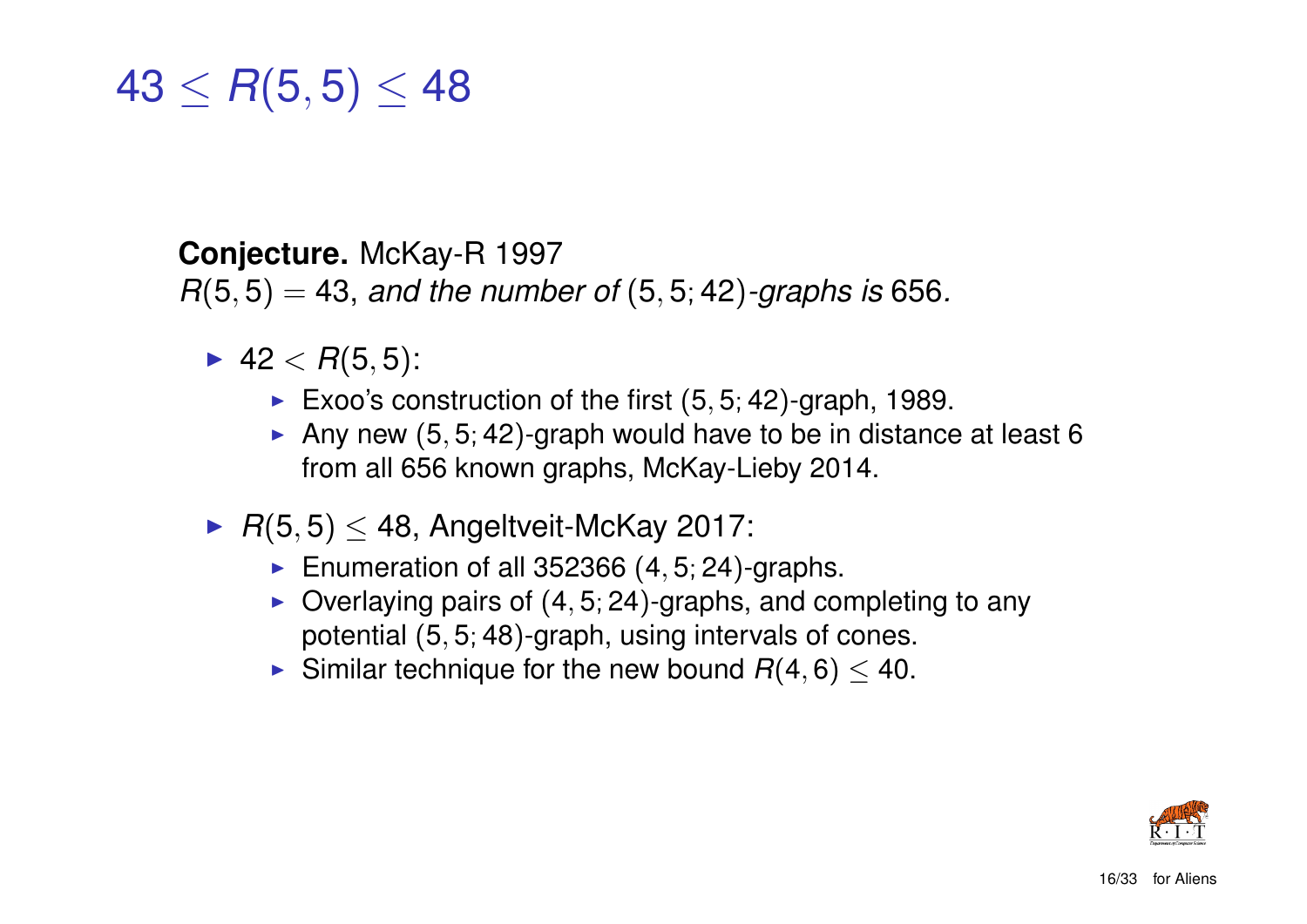$43 \leq R(5,5) \leq 48$ 

#### **Conjecture.** McKay-R 1997

*R*(5, 5) = 43, *and the number of* (5, 5; 42)*-graphs is* 656*.*

- 42 <  $R(5,5)$ :
	- Exoo's construction of the first  $(5, 5, 42)$ -graph, 1989.
	- Any new  $(5, 5; 42)$ -graph would have to be in distance at least 6 from all 656 known graphs, McKay-Lieby 2014.
- $\blacktriangleright$   $R(5, 5) \leq 48$ , Angeltveit-McKay 2017:
	- Enumeration of all 352366  $(4, 5, 24)$ -graphs.
	- $\triangleright$  Overlaying pairs of (4, 5; 24)-graphs, and completing to any potential (5, 5; 48)-graph, using intervals of cones.
	- Similar technique for the new bound  $R(4, 6) \leq 40$ .

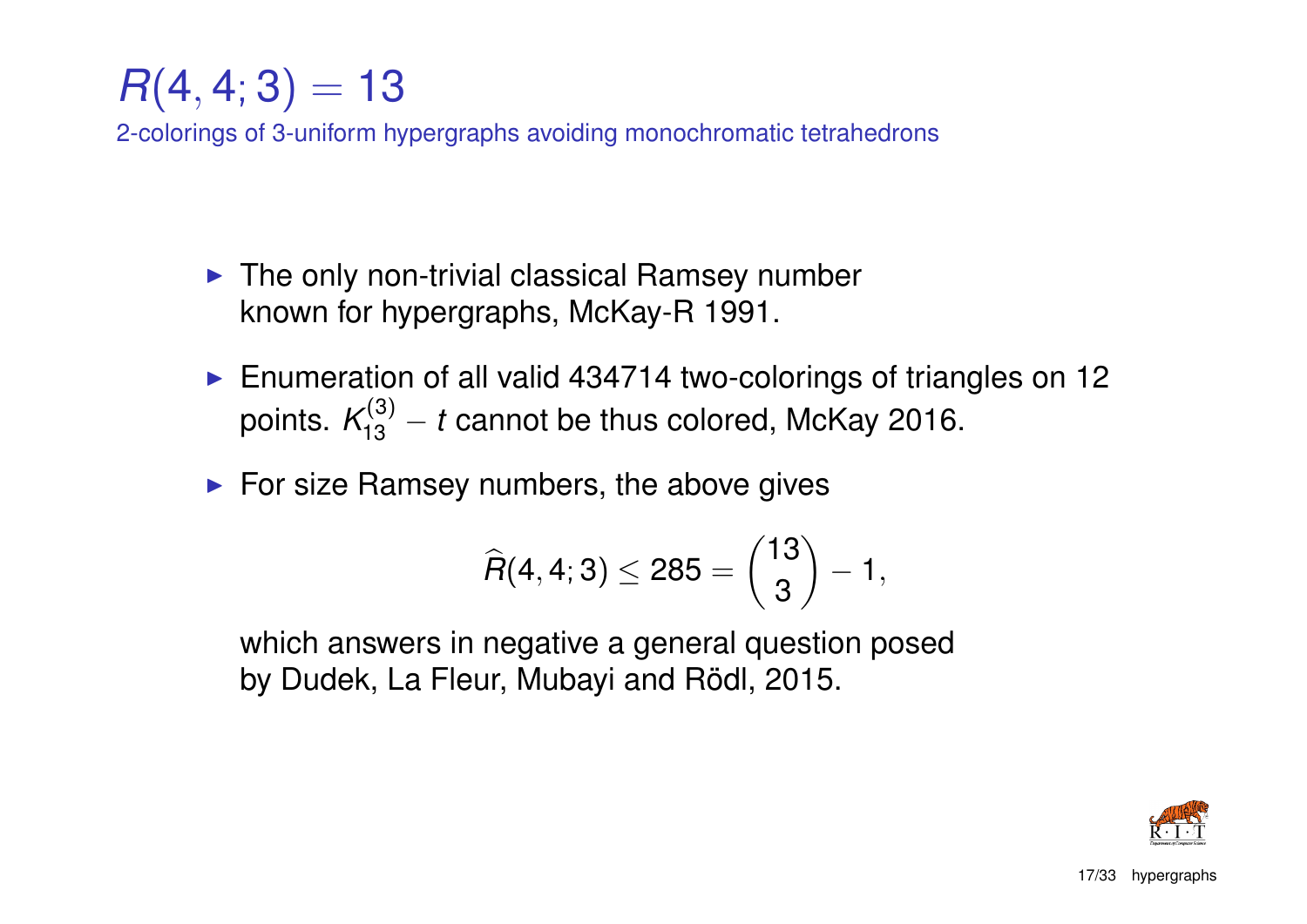## $R(4, 4; 3) = 13$

2-colorings of 3-uniform hypergraphs avoiding monochromatic tetrahedrons

- $\blacktriangleright$  The only non-trivial classical Ramsey number known for hypergraphs, McKay-R 1991.
- Enumeration of all valid 434714 two-colorings of triangles on 12 points.  $\mathcal{K}_{13}^{(3)} - t$  cannot be thus colored, McKay 2016.
- $\blacktriangleright$  For size Ramsey numbers, the above gives

$$
\widehat{R}(4,4;3) \leq 285 = {13 \choose 3} - 1,
$$

which answers in negative a general question posed by Dudek, La Fleur, Mubayi and Rödl, 2015.

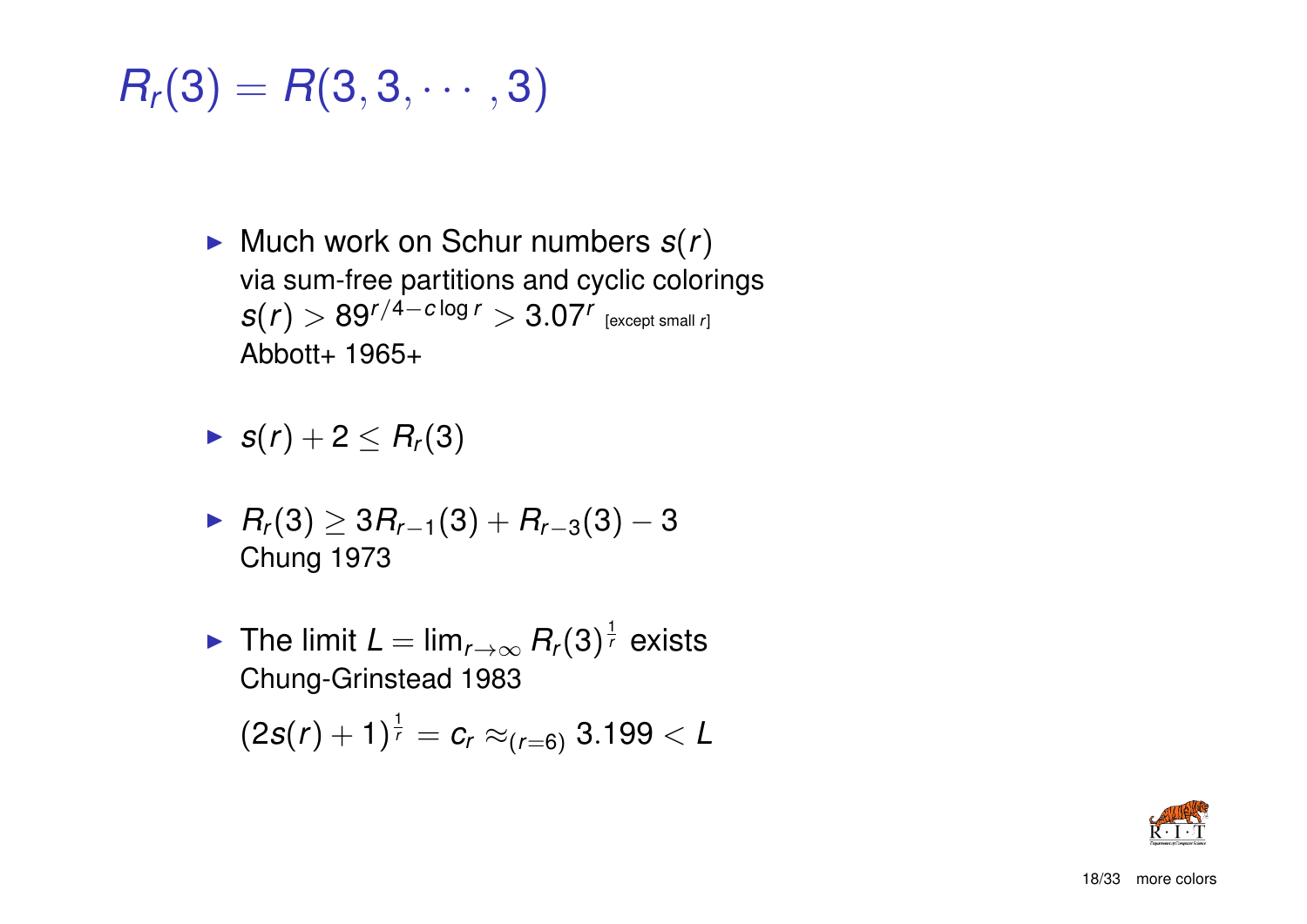$$
R_r(3)=R(3,3,\cdots,3)
$$

- $\blacktriangleright$  Much work on Schur numbers  $s(r)$ via sum-free partitions and cyclic colorings  $\mathcal{S}(r)>89^{r/4-c\log r}>3.07^r$  [except small *r*] Abbott+ 1965+
- $\blacktriangleright$  *s*(*r*) + 2  $\leq$  *R<sub>r</sub>*(3)
- <sup>I</sup> *R<sup>r</sup>* (3) ≥ 3*Rr*−1(3) + *Rr*−3(3) − 3 Chung 1973
- ▶ The limit  $L = \lim_{r \to \infty} R_r(3)^{\frac{1}{r}}$  exists Chung-Grinstead 1983

$$
(2s(r) + 1)^{\frac{1}{r}} = c_r \approx_{(r=6)} 3.199 < L
$$

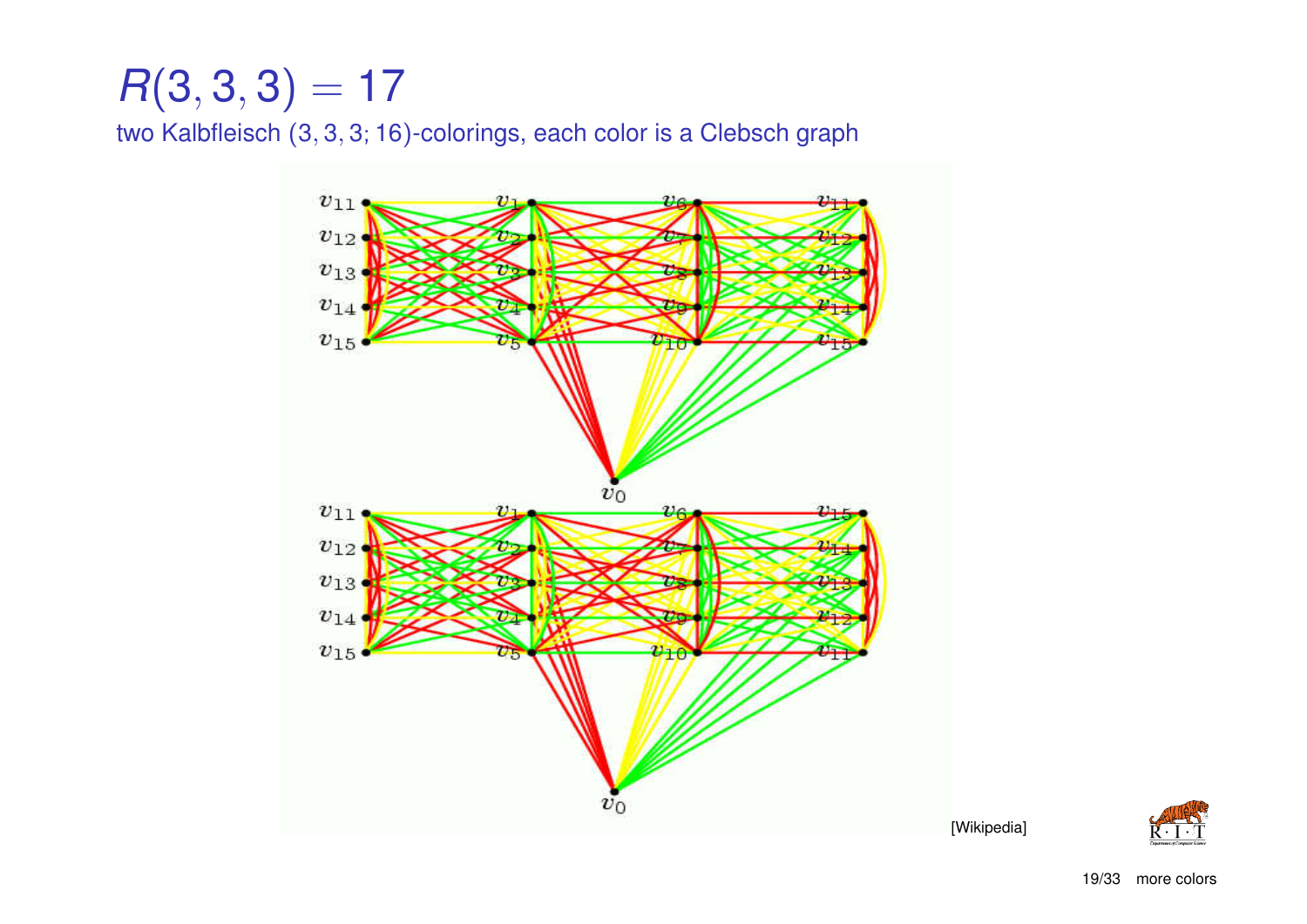## $R(3,3,3) = 17$

two Kalbfleisch (3, 3, 3; 16)-colorings, each color is a Clebsch graph





[Wikipedia]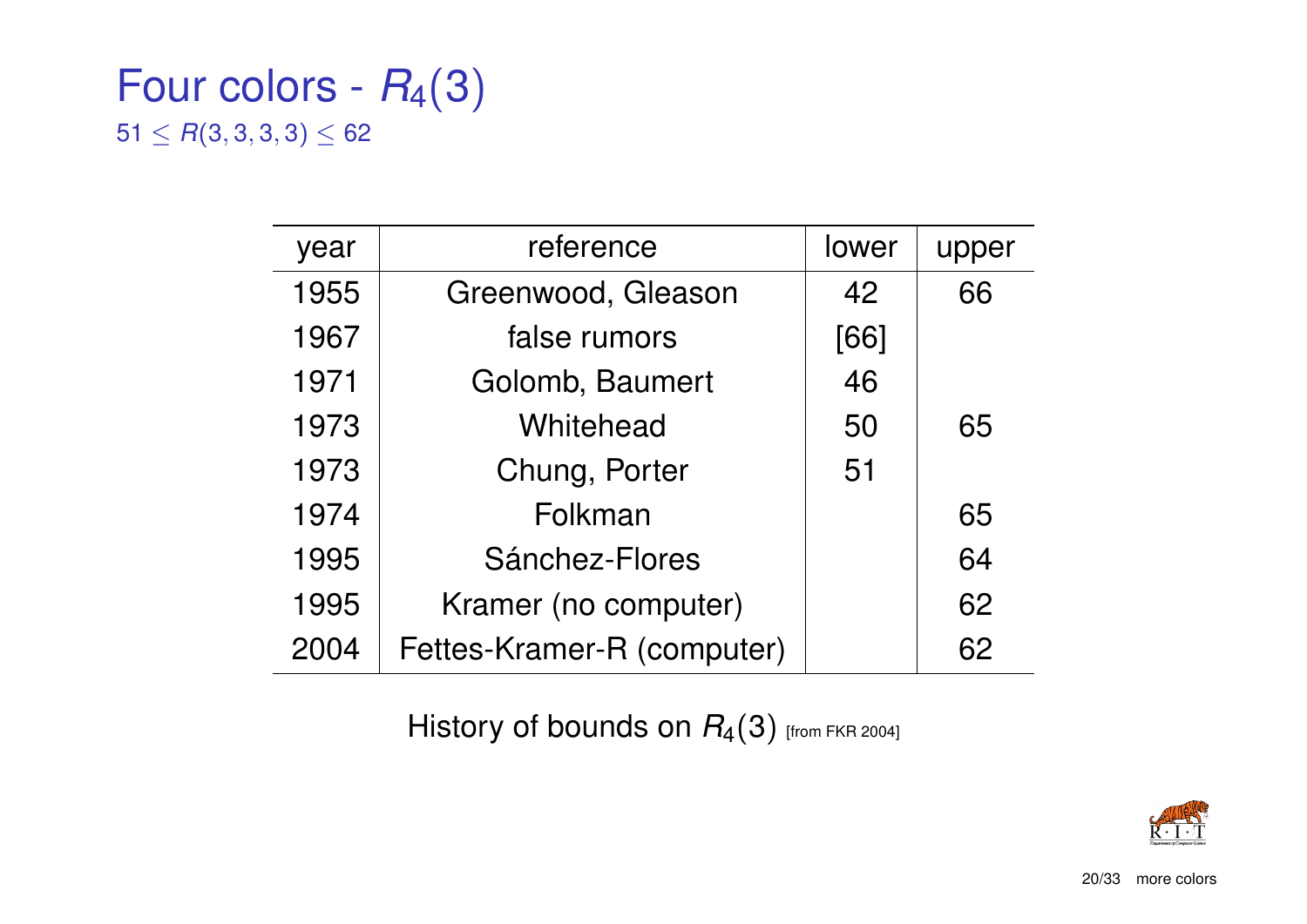### Four colors -  $R_4(3)$  $51 \leq R(3, 3, 3, 3) \leq 62$

| year | reference                  | <b>lower</b> | upper |
|------|----------------------------|--------------|-------|
| 1955 | Greenwood, Gleason         | 42           | 66    |
| 1967 | false rumors               | [66]         |       |
| 1971 | Golomb, Baumert            | 46           |       |
| 1973 | Whitehead                  | 50           | 65    |
| 1973 | Chung, Porter              | 51           |       |
| 1974 | Folkman                    |              | 65    |
| 1995 | Sánchez-Flores             |              | 64    |
| 1995 | Kramer (no computer)       |              | 62    |
| 2004 | Fettes-Kramer-R (computer) |              | 62    |

History of bounds on  $R_4(3)$  [from FKR 2004]

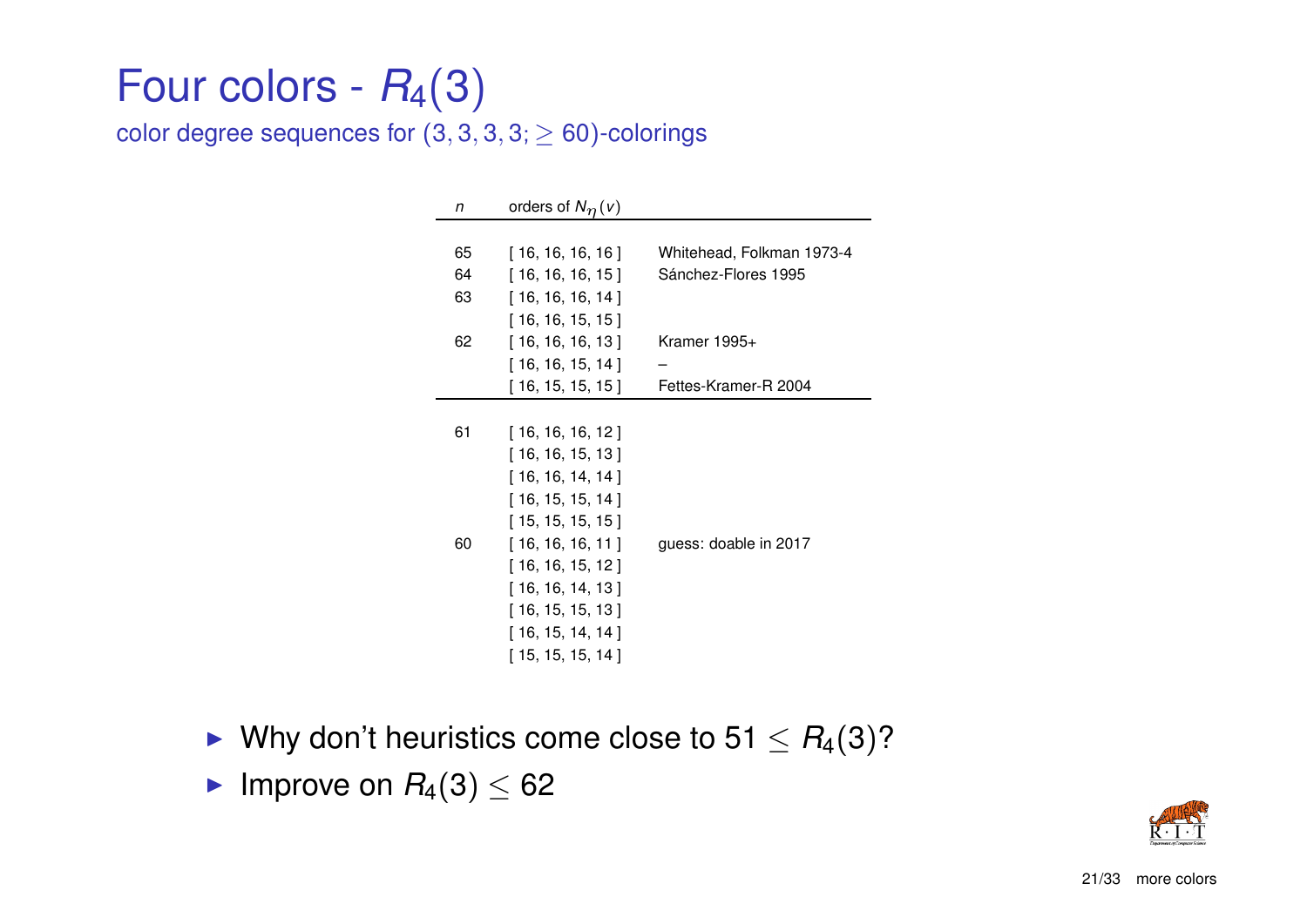## Four colors -  $R_4(3)$

color degree sequences for  $(3, 3, 3, 3, \geq 60)$ -colorings

| n  | orders of $N_{\eta}(v)$ |                           |
|----|-------------------------|---------------------------|
|    |                         |                           |
| 65 | [ 16, 16, 16, 16 ]      | Whitehead, Folkman 1973-4 |
| 64 | [16, 16, 16, 15]        | Sánchez-Flores 1995       |
| 63 | [16, 16, 16, 14]        |                           |
|    | [16, 16, 15, 15]        |                           |
| 62 | [16, 16, 16, 13]        | Kramer $1995+$            |
|    | [16, 16, 15, 14]        |                           |
|    | [16, 15, 15, 15]        | Fettes-Kramer-R 2004      |
|    |                         |                           |
| 61 | [16, 16, 16, 12]        |                           |
|    | [16, 16, 15, 13]        |                           |
|    | [16, 16, 14, 14]        |                           |
|    | [16, 15, 15, 14]        |                           |
|    | [15, 15, 15, 15]        |                           |
| 60 | [16, 16, 16, 11]        | guess: doable in 2017     |
|    | [16, 16, 15, 12]        |                           |
|    | [16, 16, 14, 13]        |                           |
|    | [16, 15, 15, 13]        |                           |
|    | [16, 15, 14, 14]        |                           |
|    | [ 15, 15, 15, 14 ]      |                           |
|    |                         |                           |

- ► Why don't heuristics come close to  $51 \leq R_4(3)$ ?
- Improve on  $R_4(3) \leq 62$

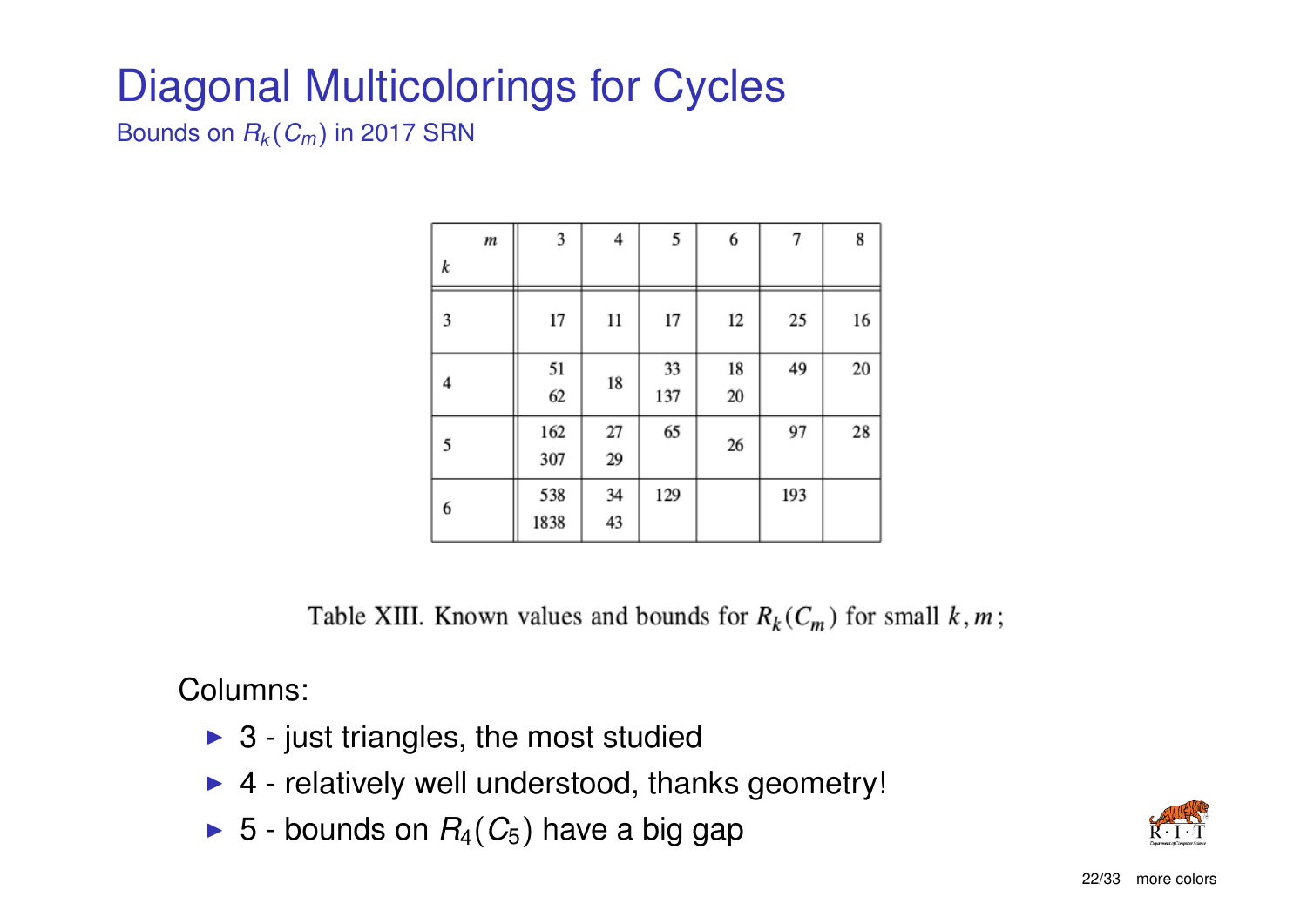## Diagonal Multicolorings for Cycles

Bounds on *R<sup>k</sup>* (*Cm*) in 2017 SRN

|   | m | 3           | 4        | 5         | 6        | 7   | 8  |
|---|---|-------------|----------|-----------|----------|-----|----|
| k |   |             |          |           |          |     |    |
| 3 |   | 17          | 11       | 17        | 12       | 25  | 16 |
| 4 |   | 51<br>62    | 18       | 33<br>137 | 18<br>20 | 49  | 20 |
| 5 |   | 162<br>307  | 27<br>29 | 65        | 26       | 97  | 28 |
| 6 |   | 538<br>1838 | 34<br>43 | 129       |          | 193 |    |

Table XIII. Known values and bounds for  $R_k(C_m)$  for small  $k, m$ ;

Columns:

- $\triangleright$  3 just triangles, the most studied
- $\triangleright$  4 relatively well understood, thanks geometry!
- $\triangleright$  5 bounds on  $R_4(C_5)$  have a big gap

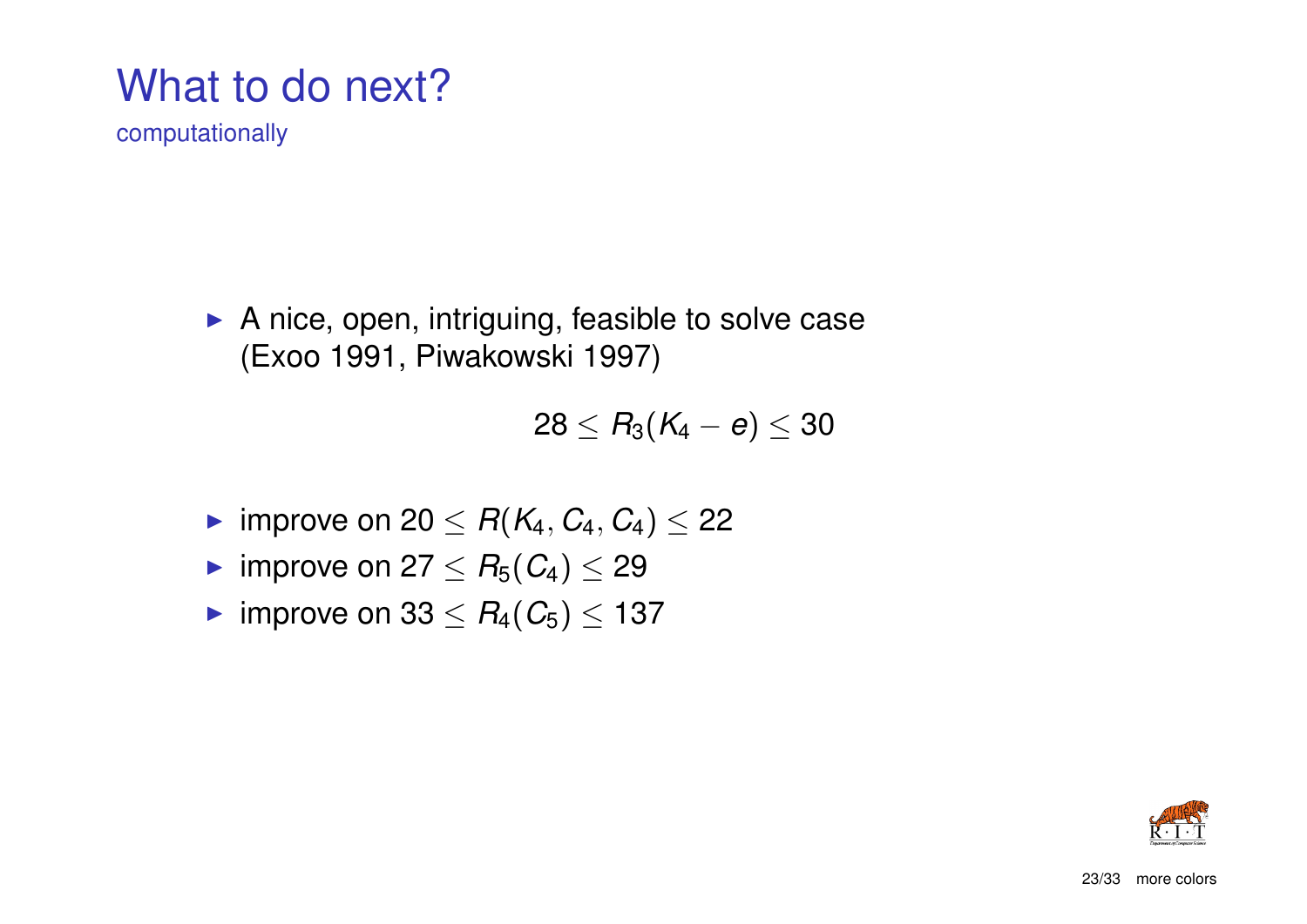## What to do next?

computationally

 $\blacktriangleright$  A nice, open, intriguing, feasible to solve case (Exoo 1991, Piwakowski 1997)

$$
28 \leq \textit{R}_3(\textit{K}_4-e) \leq 30
$$

- ► improve on 20  $\leq$  *R*( $K_4, C_4, C_4$ )  $\leq$  22
- improve on  $27 \leq R_5(C_4) \leq 29$
- $\triangleright$  improve on 33 ≤  $R_4(C_5)$  ≤ 137

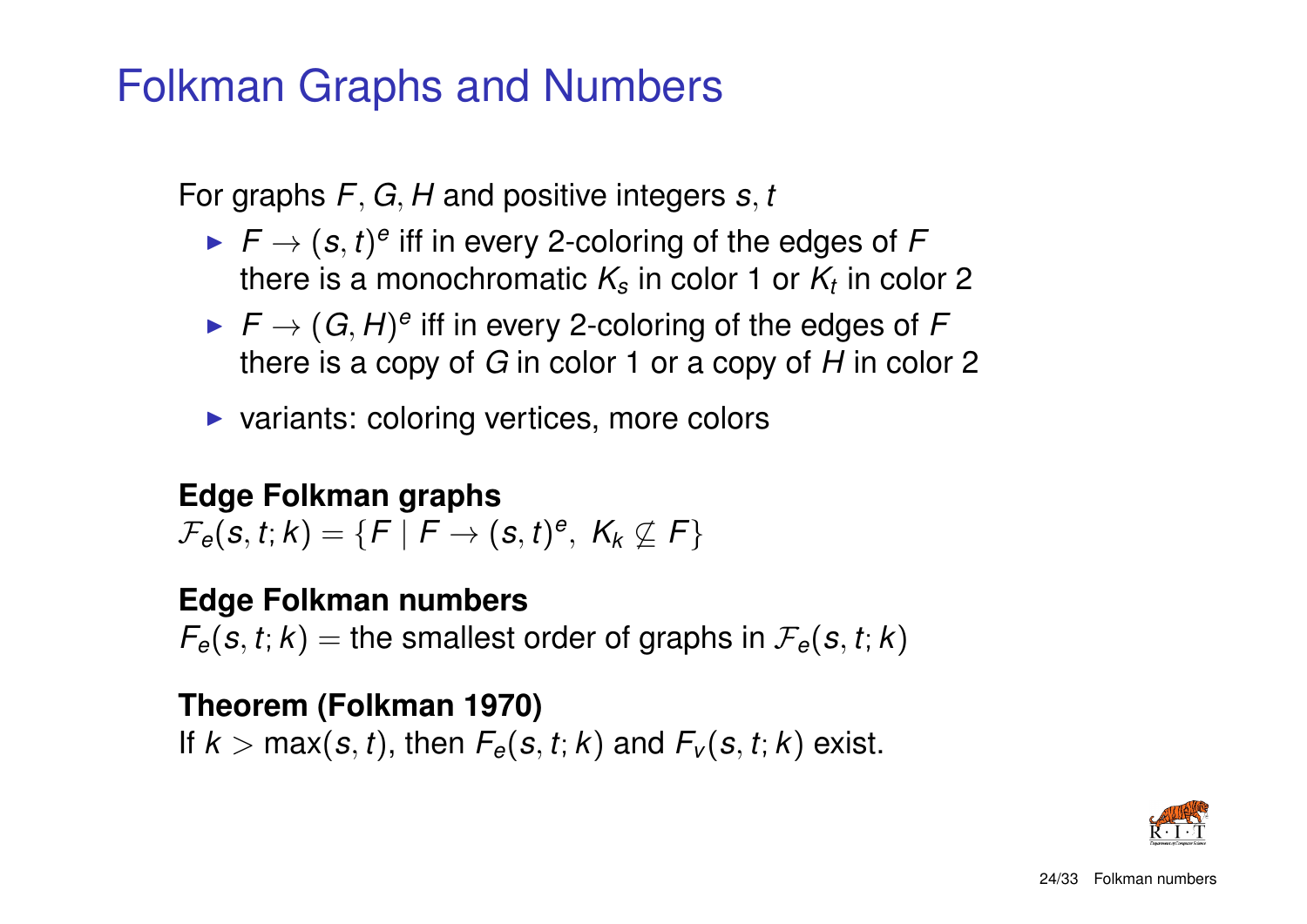### Folkman Graphs and Numbers

For graphs *F*, *G*, *H* and positive integers *s*, *t*

- $\blacktriangleright$   $F \to (s,t)^e$  iff in every 2-coloring of the edges of F there is a monochromatic  $\mathcal{K}_{s}$  in color 1 or  $\mathcal{K}_{t}$  in color 2
- $\blacktriangleright$   $F \to (G, H)^e$  iff in every 2-coloring of the edges of F there is a copy of *G* in color 1 or a copy of *H* in color 2
- $\triangleright$  variants: coloring vertices, more colors

#### **Edge Folkman graphs**

 $\mathcal{F}_e(\mathbf{s}, t; k) = \{F \mid F \rightarrow (\mathbf{s}, t)^e, \; \mathcal{K}_k \not\subseteq \mathcal{F}\}$ 

#### **Edge Folkman numbers**

 $F_e(s, t; k) =$  the smallest order of graphs in  $F_e(s, t; k)$ 

### **Theorem (Folkman 1970)**

If  $k > \max(s, t)$ , then  $F_e(s, t; k)$  and  $F_v(s, t; k)$  exist.

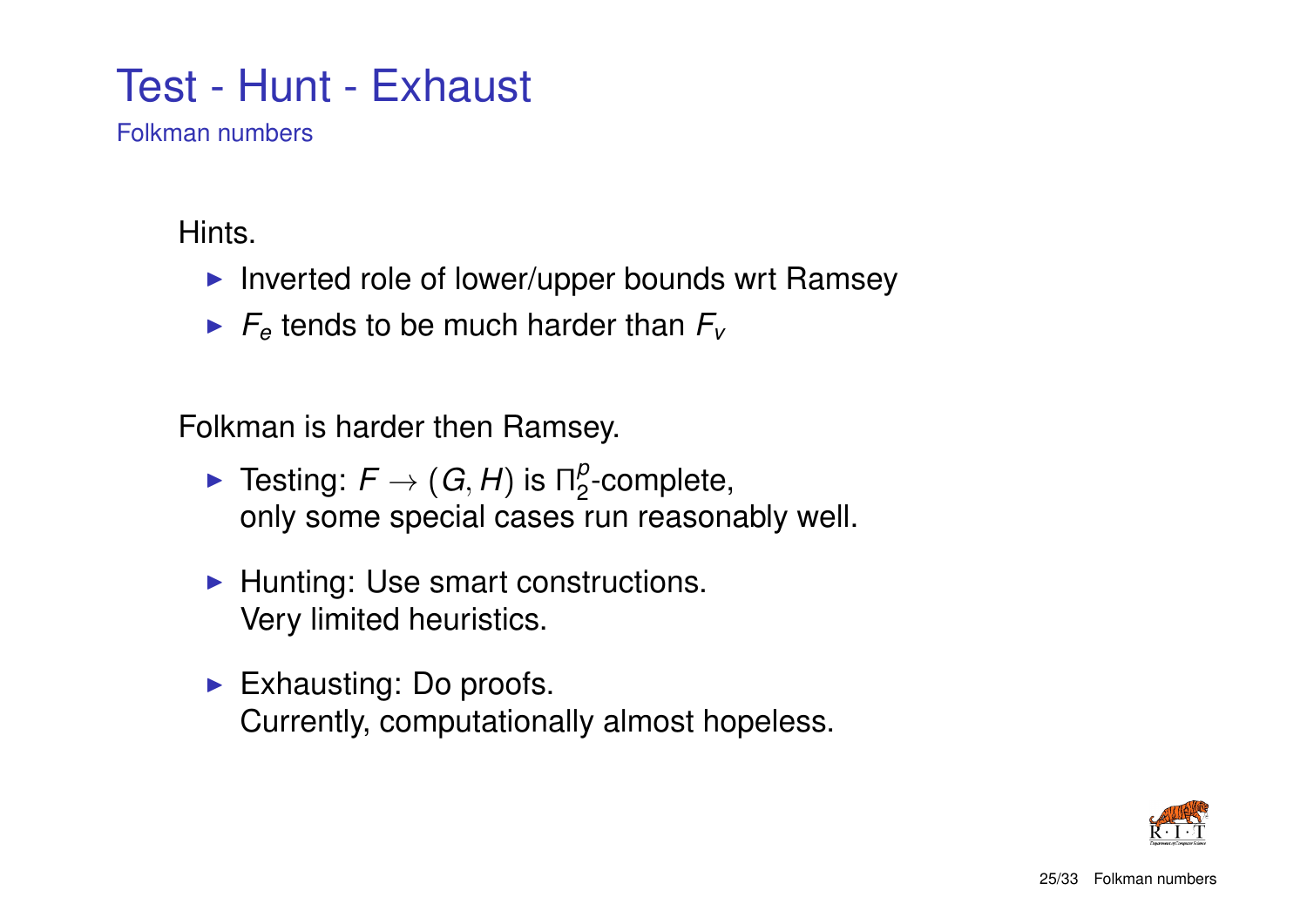### Test - Hunt - Exhaust

Folkman numbers

Hints.

- $\blacktriangleright$  Inverted role of lower/upper bounds wrt Ramsey
- $\blacktriangleright$   $F_e$  tends to be much harder than  $F_v$

Folkman is harder then Ramsey.

- $\blacktriangleright$  Testing:  $F \to (G, H)$  is  $\Pi_2^p$  $\frac{\mu}{2}$ -complete, only some special cases run reasonably well.
- $\blacktriangleright$  Hunting: Use smart constructions. Very limited heuristics.
- $\blacktriangleright$  Exhausting: Do proofs. Currently, computationally almost hopeless.

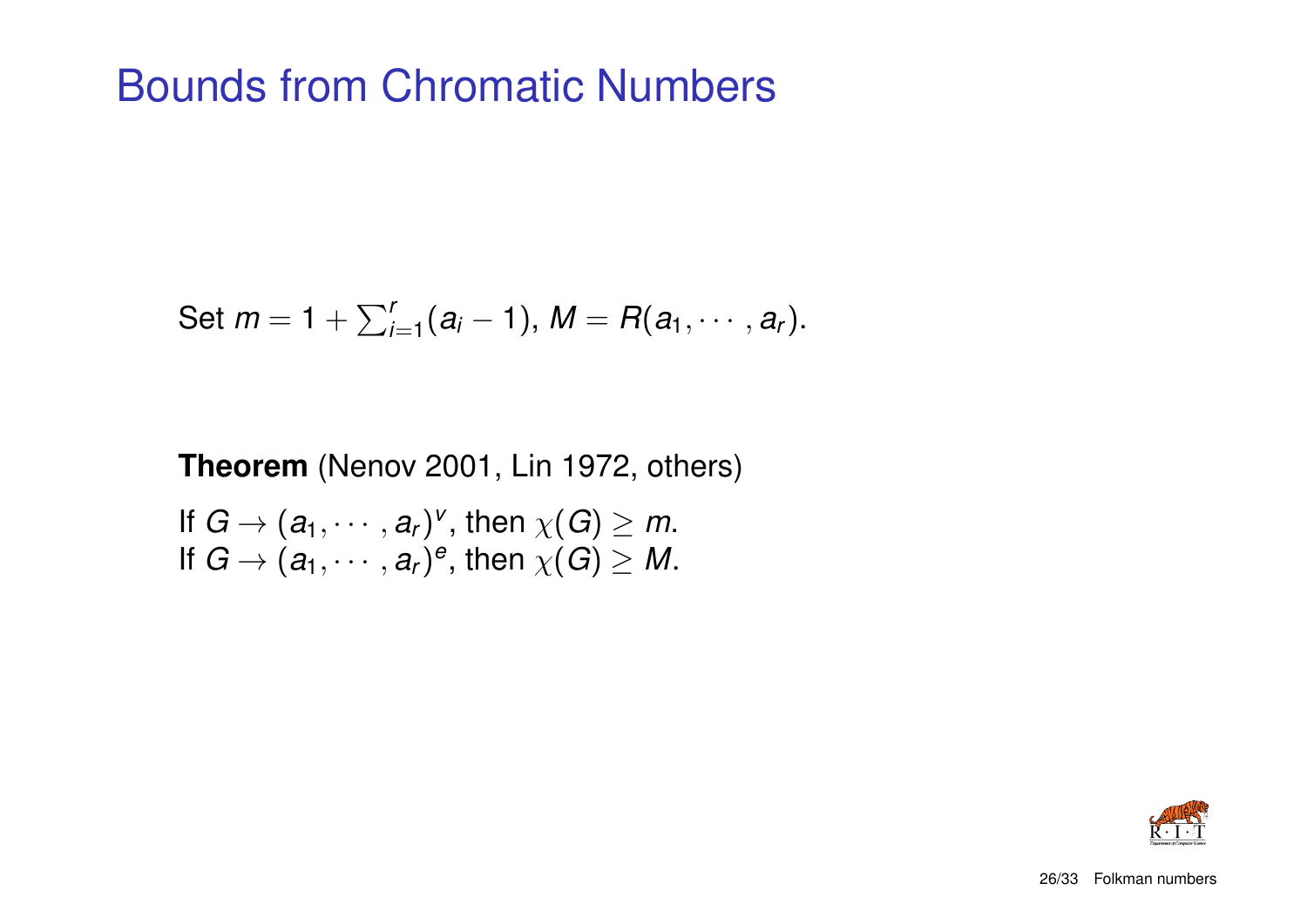### Bounds from Chromatic Numbers

Set 
$$
m = 1 + \sum_{i=1}^{r} (a_i - 1)
$$
,  $M = R(a_1, \dots, a_r)$ .

#### **Theorem** (Nenov 2001, Lin 1972, others)

If  $G \to (a_1, \dots, a_r)^v$ , then  $\chi(G) \geq m$ . If  $G \to (a_1, \cdots, a_r)^e$ , then  $\chi(G) \geq M$ .

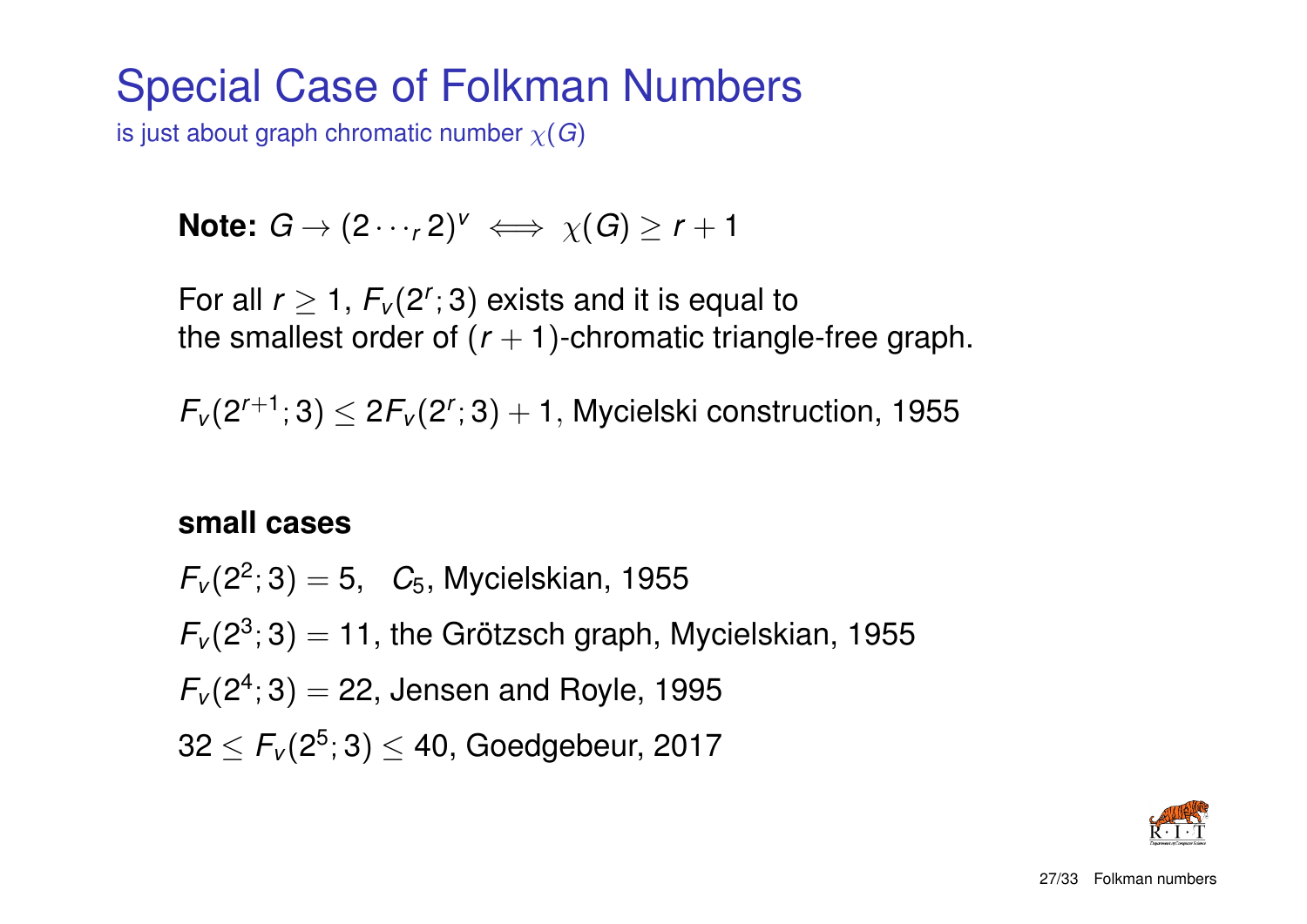### Special Case of Folkman Numbers

is just about graph chromatic number χ(*G*)

Note: 
$$
G \rightarrow (2 \cdots r2)^{v} \iff \chi(G) \ge r+1
$$

For all  $r \geq 1$ ,  $F_v(2^r; 3)$  exists and it is equal to the smallest order of  $(r + 1)$ -chromatic triangle-free graph.

 $F_v(2^{r+1};3) \leq 2F_v(2^r;3)+1$ , Mycielski construction, 1955

#### **small cases**

 $F_v(2^2; 3) = 5$ ,  $C_5$ , Mycielskian, 1955  $F_v(2^3; 3) = 11$ , the Grötzsch graph, Mycielskian, 1955  $F_{V}(2^{4};3) = 22$ , Jensen and Royle, 1995  $32 \leq \mathit{F}_{\nu}(2^5;3) \leq 40,$  Goedgebeur, 2017

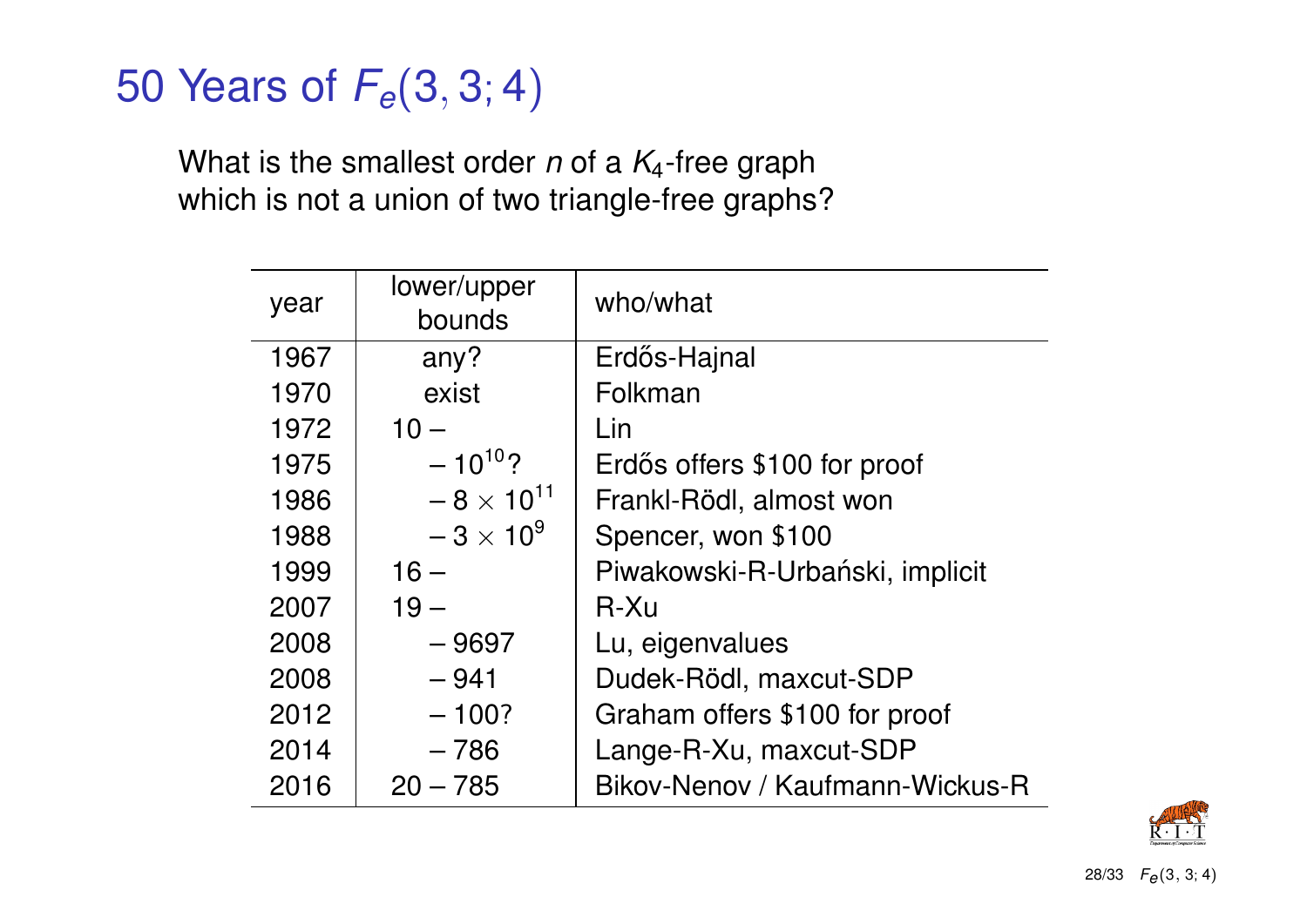## 50 Years of *Fe*(3, 3; 4)

What is the smallest order *n* of a *K*4-free graph which is not a union of two triangle-free graphs?

| year | lower/upper<br>bounds | who/what                        |
|------|-----------------------|---------------------------------|
| 1967 | any?                  | Erdős-Hajnal                    |
| 1970 | exist                 | Folkman                         |
| 1972 | $10 -$                | Lin                             |
| 1975 | $-10^{10}$ ?          | Erdős offers \$100 for proof    |
| 1986 | $-8 \times 10^{11}$   | Frankl-Rödl, almost won         |
| 1988 | $-3 \times 10^{9}$    | Spencer, won \$100              |
| 1999 | $16 -$                | Piwakowski-R-Urbański, implicit |
| 2007 | $19 -$                | $R-Xu$                          |
| 2008 | $-9697$               | Lu, eigenvalues                 |
| 2008 | $-941$                | Dudek-Rödl, maxcut-SDP          |
| 2012 | $-100?$               | Graham offers \$100 for proof   |
| 2014 | $-786$                | Lange-R-Xu, maxcut-SDP          |
| 2016 | $20 - 785$            | Bikov-Nenov / Kaufmann-Wickus-R |

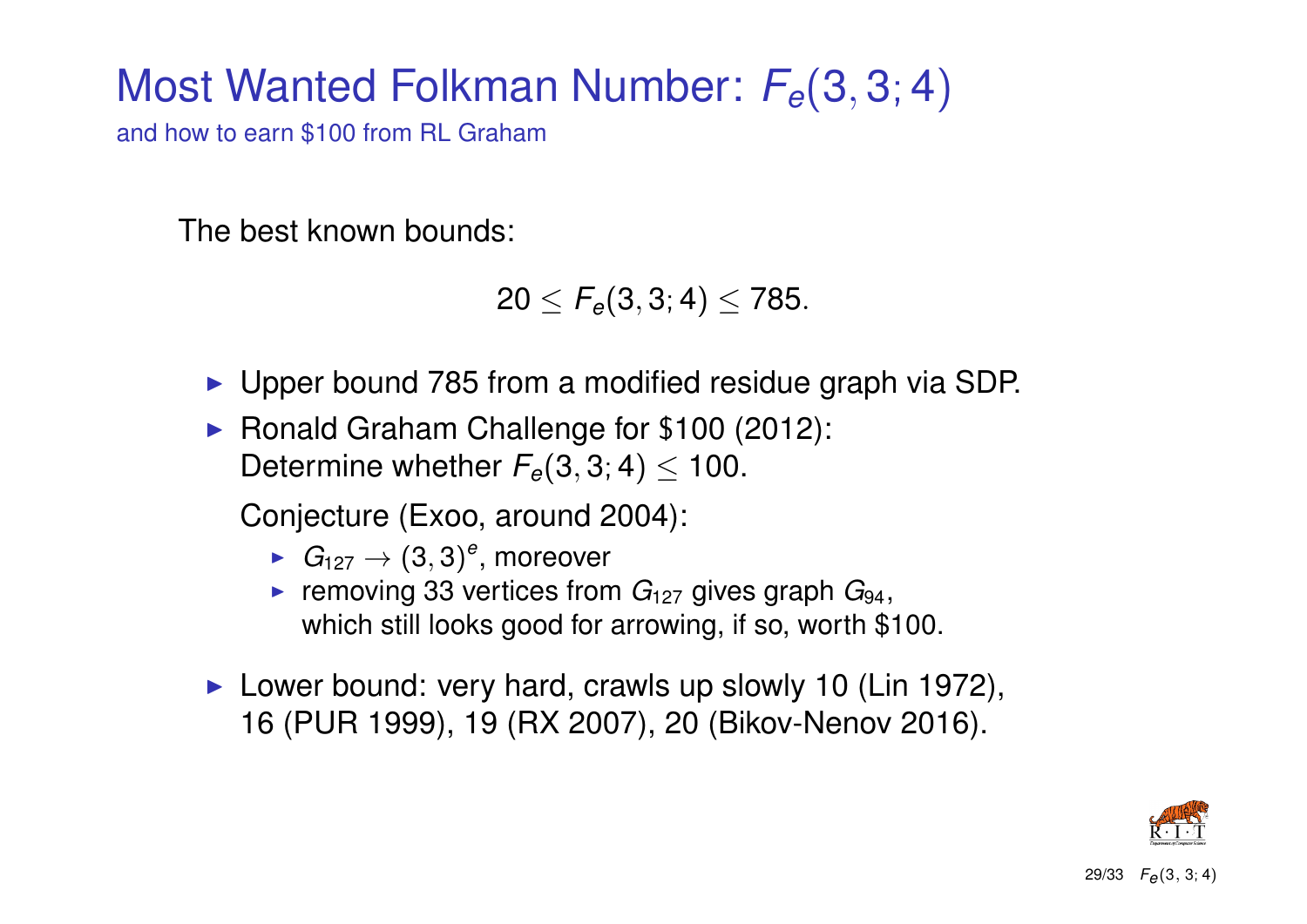## Most Wanted Folkman Number: *Fe*(3, 3; 4)

and how to earn \$100 from RL Graham

The best known bounds:

 $20 \le F_e(3,3;4) \le 785.$ 

- ► Upper bound 785 from a modified residue graph via SDP.
- ▶ Ronald Graham Challenge for \$100 (2012): Determine whether  $F_e(3, 3; 4) \le 100$ .

Conjecture (Exoo, around 2004):

- $\blacktriangleright$   $G_{127} \rightarrow (3,3)^e$ , moreover
- **Figure 133 vertices from**  $G_{127}$  **gives graph**  $G_{94}$ **,** which still looks good for arrowing, if so, worth \$100.
- $\blacktriangleright$  Lower bound: very hard, crawls up slowly 10 (Lin 1972), 16 (PUR 1999), 19 (RX 2007), 20 (Bikov-Nenov 2016).

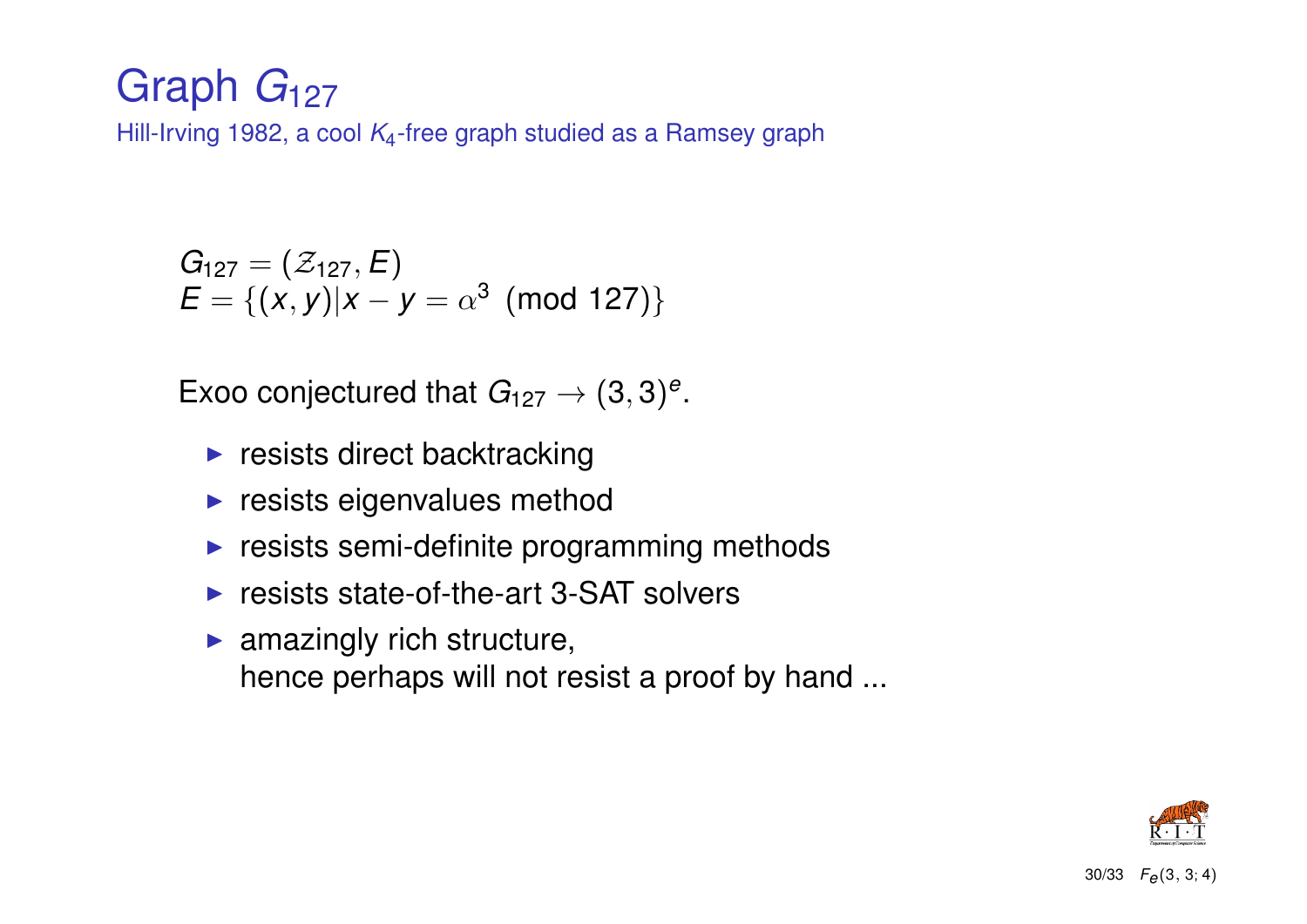### Graph *G*<sup>127</sup>

Hill-Irving 1982, a cool *K*4-free graph studied as a Ramsey graph

$$
G_{127} = (\mathcal{Z}_{127}, E)
$$
  

$$
E = \{(x, y) | x - y = \alpha^3 \pmod{127} \}
$$

Exoo conjectured that  $G_{127} \rightarrow (3,3)^e$ .

- $\blacktriangleright$  resists direct backtracking
- $\blacktriangleright$  resists eigenvalues method
- $\blacktriangleright$  resists semi-definite programming methods
- $\triangleright$  resists state-of-the-art 3-SAT solvers
- $\blacktriangleright$  amazingly rich structure, hence perhaps will not resist a proof by hand ...

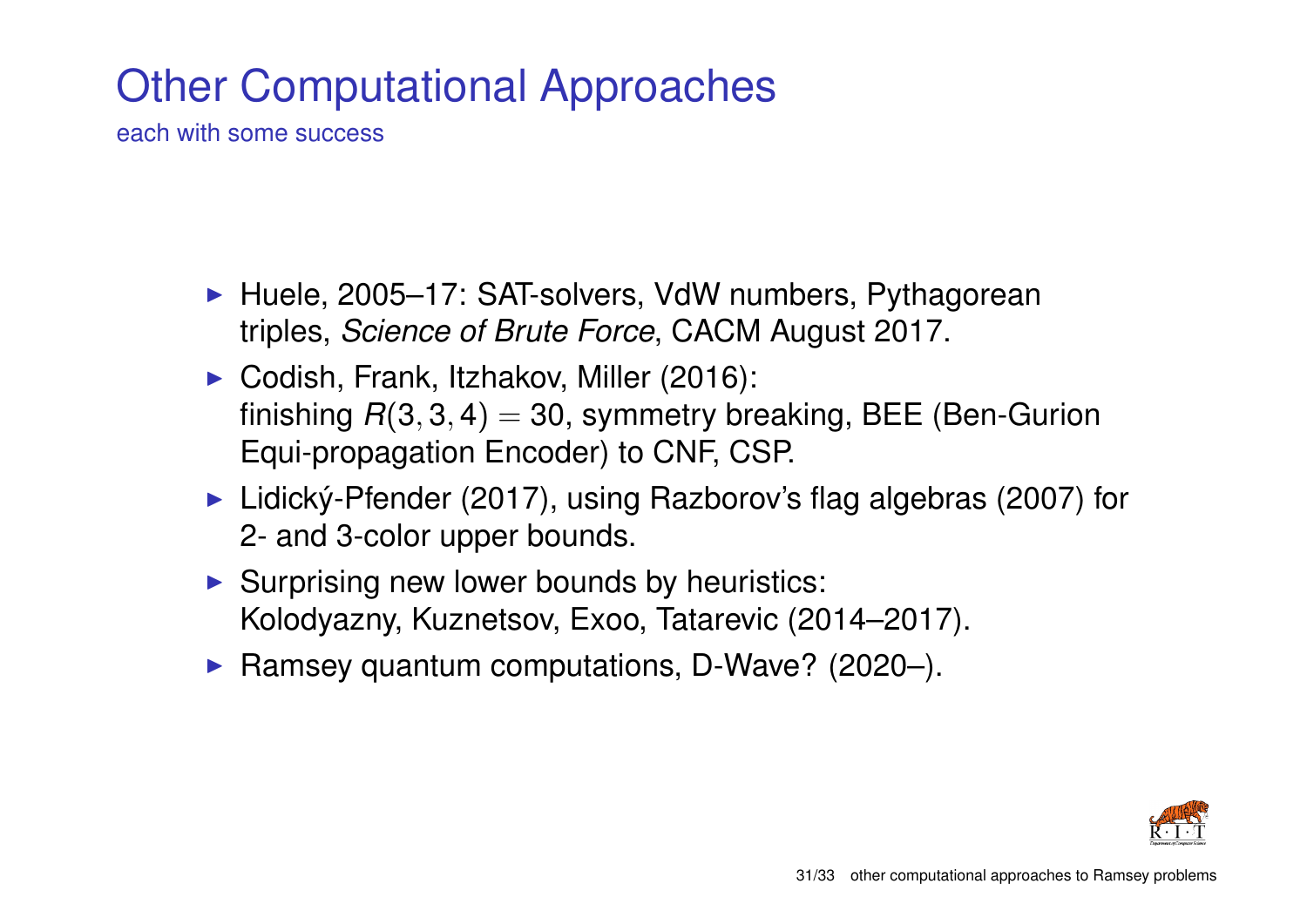## Other Computational Approaches

each with some success

- ► Huele, 2005–17: SAT-solvers, VdW numbers, Pythagorean triples, *Science of Brute Force*, CACM August 2017.
- ▶ Codish, Frank, Itzhakov, Miller (2016): finishing  $R(3,3,4) = 30$ , symmetry breaking, BEE (Ben-Gurion Equi-propagation Encoder) to CNF, CSP.
- ► Lidický-Pfender (2017), using Razborov's flag algebras (2007) for 2- and 3-color upper bounds.
- $\triangleright$  Surprising new lower bounds by heuristics: Kolodyazny, Kuznetsov, Exoo, Tatarevic (2014–2017).
- Ramsey quantum computations, D-Wave?  $(2020-)$ .

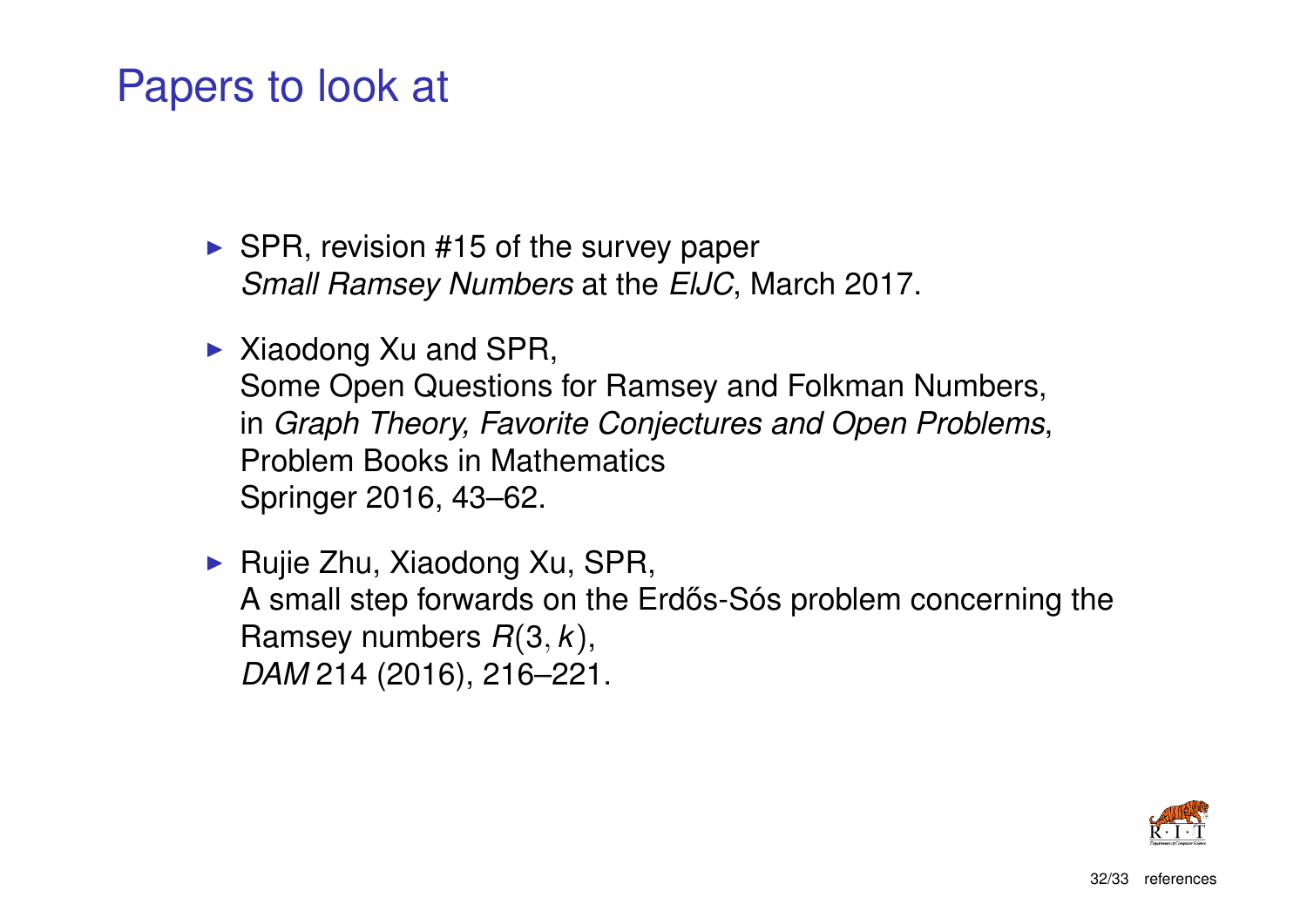### Papers to look at

- $\triangleright$  SPR, revision #15 of the survey paper *Small Ramsey Numbers* at the *ElJC*, March 2017.
- $\triangleright$  Xiaodong Xu and SPR, Some Open Questions for Ramsey and Folkman Numbers, in *Graph Theory, Favorite Conjectures and Open Problems*, Problem Books in Mathematics Springer 2016, 43–62.
- $\blacktriangleright$  Rujie Zhu, Xiaodong Xu, SPR, A small step forwards on the Erdős-Sós problem concerning the Ramsey numbers *R*(3, *k*), *DAM* 214 (2016), 216–221.